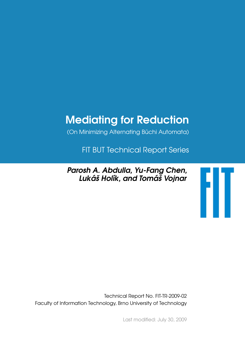# Mediating for Reduction

(On Minimizing Alternating Büchi Automata)

FIT BUT Technical Report Series

Parosh A. Abdulla, Yu-Fang Chen, Lukáš Holík, and Tomáš Vojnar

Technical Report No. FIT-TR-2009-02 Faculty of Information Technology, Brno University of Technology

Last modified: July 30, 2009

H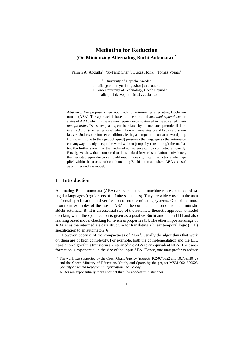# **Mediating for Reduction (On Minimizing Alternating Buchi Automata) ¨** ⋆

Parosh A. Abdulla<sup>1</sup>, Yu-Fang Chen<sup>1</sup>, Lukáš Holík<sup>2</sup>, Tomáš Vojnar<sup>2</sup>

<sup>1</sup> University of Uppsala, Sweden e-mail: {parosh,yu-fang.chen}@it.uu.se <sup>2</sup> FIT, Brno University of Technology, Czech Republic e-mail: {holik,vojnar}@fit.vutbr.cz

**Abstract.** We propose a new approach for minimizing alternating Büchi automata (ABA). The approach is based on the so called *mediated equivalence* on states of ABA, which is the maximal equivalence contained in the so called *mediated preorder*. Two states *p* and *q* can be related by the mediated preorder if there is a *mediator* (mediating state) which forward simulates *p* and backward simulates *q*. Under some further conditions, letting a computation on some word jump from *q* to *p* (due to they get collapsed) preserves the language as the automaton can anyway already accept the word without jumps by runs through the mediator. We further show how the mediated equivalence can be computed efficiently. Finally, we show that, compared to the standard forward simulation equivalence, the mediated equivalence can yield much more significant reductions when applied within the process of complementing Büchi automata where ABA are used as an intermediate model.

# **1 Introduction**

Alternating Büchi automata (ABA) are succinct state-machine representations of  $\omega$ regular languages (regular sets of infinite sequences). They are widely used in the area of formal specification and verification of non-terminating systems. One of the most prominent examples of the use of ABA is the complementation of nondeterministic Büchi automata [8]. It is an essential step of the automata-theoretic approach to model checking when the specification is given as a positive Büchi automaton  $[11]$  and also learning based model checking for liveness properties [3]. The other important usage of ABA is as the intermediate data structure for translating a linear temporal logic (LTL) specification to an automaton [6].

However, because of the compactness of  $ABA^1$ , usually the algorithms that work on them are of high complexity. For example, both the complementation and the LTL translation algorithms transform an intermediate ABA to an equivalent NBA. The transformation is exponential in the size of the input ABA. Hence, one may prefer to reduce

<sup>⋆</sup> The work was supported by the Czech Grant Agency (projects 102/07/0322 and 102/09/H042) and the Czech Ministry of Education, Youth, and Sports by the project MSM 0021630528 *Security-Oriented Research in Information Technology*.

 $<sup>1</sup>$  ABA's are exponentially more succinct than the nondeterministic ones.</sup>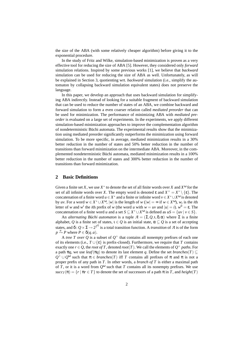the size of the ABA (with some relatively cheaper algorithm) before giving it to the exponential procedure.

In the study of Fritz and Wilke, simulation-based minimization is proven as a very effective tool for reducing the size of ABA [5]. However, they considered only *forward* simulation relations. Inspired by some previous works [1], we believe that *backward* simulation can be used for reducing the size of ABA as well. Unfortunately, as will be explained in Section 3, quotienting wrt. *backward* simulation (i.e., simplify the automaton by collapsing backward simulation equivalent states) does not preserve the language.

In this paper, we develop an approach that uses backward simulation for simplifying ABA indirectly. Instead of looking for a suitable fragment of backward simulation that can be used to reduce the number of states of an ABA, we combine backward and forward simulation to form a even coarser relation called *mediated preorder* that can be used for minimization. The performance of minimizing ABA with *mediated preorder* is evaluated on a large set of experiments. In the experiments, we apply different simulation-based minimization approaches to improve the complementation algorithm of nondeterministic Büchi automata. The experimental results show that the minimization using mediated preorder significantly outperforms the minimization using forward simulation. To be more specific, in average, mediated minimization results in a 30% better reduction in the number of states and 50% better reduction in the number of transitions than forward minimization on the intermediate ABA. Moreover, in the complemented nondeterministic Büchi automata, mediated minimization results in a 100% better reduction in the number of states and 300% better reduction in the number of transitions than forward minimization.

#### **2 Basic Definitions**

Given a finite set *X*, we use  $X^*$  to denote the set of all finite words over *X* and  $X^{\omega}$  for the set of all infinite words over *X*. The empty word is denoted  $\varepsilon$  and  $X^+ = X^* \setminus {\varepsilon}$ . The concatenation of a finite word  $u \in X^*$  and a finite or infinite word  $v \in X^* \cup X^{\omega}$  is denoted by *uv*. For a word  $w \in X^* \cup X^{\omega}$ ,  $|w|$  is the length of  $w(|w| = \infty$  if  $w \in X^{\omega}$ ),  $w_i$  is the *i*th letter of *w* and  $w^i$  the *i*th prefix of *w* (the word *u* with  $w = uv$  and  $|u| = i$ ).  $w^0 = \varepsilon$ . The concatenation of a finite word *u* and a set  $S \subseteq X^* \cup X^{\omega}$  is defined as  $uS = \{uv \mid v \in S\}.$ 

An *alternating Büchi automaton* is a tuple  $A = (\Sigma, Q, t, \delta, \alpha)$  where  $\Sigma$  is a finite alphabet, Q is a finite set of states,  $i \in Q$  is an initial state,  $\alpha \subseteq Q$  is a set of accepting states, and  $\delta: Q \times \Sigma \to 2^{2^Q}$  is a total transition function. A *transition* of  $\mathcal A$  is of the form  $p \stackrel{a}{\rightarrow} P$  where  $\widetilde{P} \in \delta(q, a)$ .

A *tree T over Q* is a subset of  $Q^+$  that contains all nonempty prefixes of each one of its elements (i.e.,  $T \cup {\{\epsilon\}}$  is prefix-closed). Furthermore, we require that *T* contains exactly one  $r \in Q$ , the *root of T* , denoted *root*(*T*). We call the elements of  $Q^+$  *paths*. For a path  $\pi q$ , we use  $leaf(\pi q)$  to denote its last element q. Define the set *branches*(*T*) ⊆  $Q^+ \cup Q^0$  such that  $\pi \in branches(T)$  iff *T* contains all prefixes of  $\pi$  and  $\pi$  is not a proper prefix of any path in *T*. In other words, a *branch of T* is either a maximal path of *T*, or it is a word from  $Q^{\omega}$  such that *T* contains all its nonempty prefixes. We use  $succ_T(\pi) = \{r \mid \pi r \in T\}$  to denote the set of successors of a path  $\pi$  in *T*, and *height*(*T*)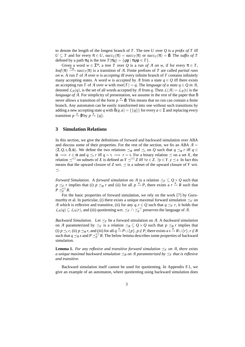to denote the length of the longest branch of *T*. The tree *U* over *Q* is a *prefix of T* iff  $U \subseteq T$  and for every  $\pi \in U$ ,  $succ_U(\pi) = succ_T(\pi)$  or  $succ_U(\pi) = \emptyset$ . The *suffix of* T defined by a path  $\pi q$  is the tree  $T(\pi q) = \{ q \psi \mid \pi q \psi \in T \}.$ 

Given a word  $w \in \Sigma^{\omega}$ , a tree *T* over *Q* is a *run of A on w*, if for every  $\pi \in T$ , *leaf*( $\pi$ )  $\frac{w_{|\pi|}}{|\pi|}$ , *succ*<sub>*T*</sub>( $\pi$ ) is a transition of *A*. Finite prefixes of *T* are called *partial runs on w*. A run *T* of *A* over *w* is *accepting* iff every infinite branch of *T* contains infinitely many accepting states. A word *w* is *accepted* by *A* from a state  $q \in Q$  iff there exists an accepting run *T* of *A* over *w* with  $root(T) = q$ . The *language of a state q*  $\in$  *Q* in *A*, denoted  $L_{\mathcal{A}}(q)$ , is the set of all words accepted by *A* from *q*. Then  $L(\mathcal{A}) = L_{\mathcal{A}}(1)$  is the *language of A*. For simplicity of presentation, we assume in the rest of the paper that δ never allows a transition of the form  $p \stackrel{a}{\rightarrow} \emptyset$ . This means that no run can contain a finite branch. Any automaton can be easily transformed into one without such transitions by adding a new accepting state *q* with  $\delta(q, a) = \{ \{q\} \}$  for every  $a \in \Sigma$  and replacing every transition  $p \xrightarrow{a} \emptyset$  by  $p \xrightarrow{a} \{q\}$ .

# **3 Simulation Relations**

In this section, we give the definitions of forward and backward simulation over ABA and discuss some of their properties. For the rest of the section, we fix an ABA  $A =$  $(\Sigma, Q, t, \delta, \alpha)$ . We define the two relations  $\preceq_\alpha$  and  $\preceq_t$  on *Q* such that  $q \preceq_\alpha r$  iff  $q \in$  $\alpha \implies r \in \alpha$  and  $q \leq_1 r$  iff  $q = 1 \implies r = 1$ . For a binary relation  $\preceq$  on a set *X*, the relation  $\preceq^{\forall \exists}$  on subsets of *X* is defined as  $Y \preceq^{\forall \exists} Z$  iff  $\forall z \in Z$ .  $\exists y \in Y$ .  $y \preceq z$ . In fact this means that the upward closure of *Z* wrt.  $\prec$  is a subset of the upward closure of *Y* wrt.  $\preceq$ .

*Forward Simulation.* A *forward simulation* on *A* is a relation  $\preceq_F \subseteq Q \times Q$  such that *p*  $\leq$ <sub>*F*</sub> *r* implies that (i)  $p \leq_{\alpha} r$  and (ii) for all  $p \stackrel{a}{\rightarrow} P$ , there exists a  $r \stackrel{a}{\rightarrow} R$  such that  $P \preceq^{\forall \exists}_{F} R$ .

For the basic properties of forward simulation, we rely on the work [7] by Gurumurthy et al. In particular, (i) there exists a unique maximal forward simulation  $\preceq_F$  on *A* which is reflexive and transitive, (ii) for any  $q, r \in Q$  such that  $q \preceq_F r$ , it holds that *L*<sub>*A*</sub>(*q*) ⊆ *L*<sub>*A*</sub>(*r*), and (iii) quotienting wrt.  $\leq$ <sub>*F*</sub> ∩  $\leq$ <sup>*F*</sup><sub>*F*</sub></sub>  $\leq$ <sup>*F*</sup> $\leq$ <sup>*F*</sup> $\leq$ *F* $\leq$ *F* $\leq$ *F* $\leq$ *F* $\leq$ *F* $\leq$ *F* $\leq$ *F* $\leq$ *F* $\leq$ *F* $\leq$ *F* $\leq$ *F* $\leq$ *F* $\leq$ *F* $\leq$ *F* 

*Backward Simulation.* Let  $\leq_F$  be a forward simulation on *A*. A *backward simulation* on *A* parameterized by  $\leq_F$  is a relation  $\leq_B$   $\subseteq Q \times Q$  such that  $p \leq_B r$  implies that (i)  $p \leq_1 r$ , (ii)  $p \leq_\alpha r$ , and (iii) for all  $q \xrightarrow{a} P \cup \{p\}$ ,  $p \notin P$ , there exists a  $s \xrightarrow{a} R \cup \{r\}$ ,  $r \notin R$ such that  $q \leq_B s$  and  $P \leq_F^{\forall \exists} R$ . The below lemma describes some properties of backward simulation.

**Lemma 1.** *For any reflexive and transitive forward simulation*  $\leq_F$  *on*  $\mathcal{A}$ *, there exists a unique maximal backward simulation*  $\leq_B$  *on*  $\mathcal A$  *parameterized* by  $\leq_F$  *that is reflexive and transitive.*

Backward simulation itself cannot be used for quotienting. In Appendix F.1, we give an example of an automaton, where quotienting using backward simulation does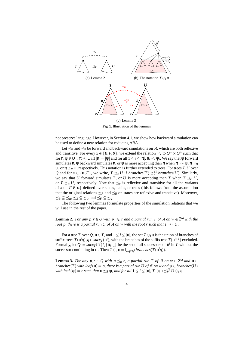

**Fig. 1.** Illustration of the lemmas

not preserve language. However, in Section 4.1, we show how backward simulation can be used to define a new relation for reducing ABA.

Let  $\leq_F$  and  $\leq_B$  be forward and backward simulations on *A*, which are both reflexive and transitive. For every  $x \in \{B,F,\alpha\},$  we extend the relation  $\preceq_x$  to  $Q^+ \times Q^+$  such that for π,  $ψ ∈ Q^+, π ⊇_x ψ$  iff  $|π| = |ψ|$  and for all  $1 ≤ i ≤ |\pi|, π_i ⊦_x ψ_i.$  We say that  $ψ$  forward simulates π,  $\psi$  backward simulates π, or  $\psi$  is more accepting than π when  $\pi \leq_F \psi$ ,  $\pi \leq_B$  $\psi$ , or  $\pi \preceq_{\alpha} \psi$ , respectively. This notation is further extended to trees. For trees *T*, *U* over *Q* and for  $x \in \{\alpha, F\}$ , we write,  $T \preceq_x U$  if *branches* $(T) \preceq_x^{\forall \exists}$  *branches* $(U)$ . Similarly, we say that *U* forward simulates *T*, or *U* is more accepting than *T* when  $T \leq_F U$ , or  $T \preceq_{\alpha} U$ , respectively. Note that  $\preceq_x$  is reflexive and transitive for all the variants of  $x \in \{F, B, \alpha\}$  defined over states, paths, or trees (this follows from the assumption that the original relations  $\preceq_F$  and  $\preceq_B$  on states are reflexive and transitive). Moreover,  $\preceq_B \subseteq \preceq_\alpha$ ,  $\preceq_B \subseteq \preceq_1$ , and  $\preceq_F \subseteq \preceq_\alpha$ .

The following two lemmas formulate properties of the simulation relations that we will use in the rest of the paper.

**Lemma 2.** *For any*  $p, r \in Q$  *with*  $p \leq_F r$  *and a partial run T of A on*  $w \in \Sigma^{\omega}$  *with the root p, there is a partial run U of A on w with the root r such that*  $T \prec_F U$ *.* 

For a tree *T* over *Q*,  $\pi \in T$ , and  $1 \le i \le |\pi|$ , the set  $T \ominus_i \pi$  is the union of branches of  $\text{suffix trees } T(\pi^i q), q \in \textit{succ}_T(\pi^i), \text{with the branches of the suffix tree } T(\pi^{i+1}) \text{ excluded.}$ Formally, let  $Q^i = succ_T(\pi^i)\setminus\{\pi_{i+1}\}$  be the set of all successors of  $\pi^i$  in  $T$  without the successor continuing in  $\pi$ . Then  $T \ominus_i \pi = \bigcup_{q \in Q^i} branches(T(\pi^i q))$ .

**Lemma 3.** *For any p,r*  $\in$  *Q with p*  $\leq_B$ *r, a partial run T of A on w*  $\in$   $\Sigma^{\omega}$  *and*  $\pi$   $\in$ *branches*(*T*) *with leaf*( $\pi$ ) = *p, there is a partial run U of A on w and*  $\psi \in$  *branches*(*U*) *with leaf*  $(\psi) = r$  *such that*  $\pi \leq_B \psi$ *, and for all*  $1 \leq i \leq |\pi|$ *, T*  $\ominus_i \pi \leq_F^{\forall \exists} U \ominus_i \psi$ *.*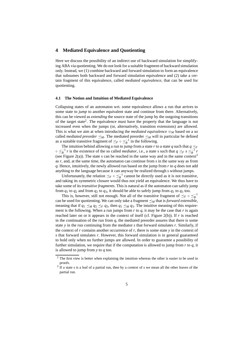## **4 Mediated Equivalence and Quotienting**

Here we discuss the possibility of an indirect use of backward simulation for simplifying ABA via quotienting. We do not look for a suitable fragment of backward simulation only. Instead, we (1) combine backward and forward simulation to form an equivalence that subsumes both backward and forward simulation equivalence and (2) take a certain fragment of this equivalence, called *mediated equivalence*, that can be used for quotienting.

#### **4.1 The Notion and Intuition of Mediated Equivalence**

Collapsing states of an automaton wrt. some equivalence allows a run that arrives to some state to *jump* to another equivalent state and continue from there. Alternatively, this can be viewed as *extending* the source state of the jump by the outgoing transitions of the target state<sup>2</sup>. The equivalence must have the property that the language is not increased even when the jumps (or, alternatively, transition extensions) are allowed. This is what we aim at when introducing the *mediated equivalence*  $\equiv_M$  based on a so called *mediated preorder*  $\preceq_M$ . The mediated preorder  $\preceq_M$  will in particular be defined as a suitable transitive fragment of  $\preceq_F \circ \preceq_B^{-1}$  in the following.

The intuition behind allowing a run to jump from a state *r* to a state *q* such that  $q \leq_F$  $\circ$   $\leq_B^{-1}$  *r* is the existence of the so called *mediator*, i.e., a state s such that  $q \leq_F s \leq_B^{-1}$ *r* (see Figure 2(a)). The state *s* can be reached in the same way and in the same context<sup>3</sup> as *r*, and, at the same time, the automaton can continue from *s* in the same way as from *q*. Hence, intuitively, the newly allowed run based on the jump from *r* to *q* does not add anything to the language because it can anyway be realized through *s* without jumps.

Unfortunately, the relation  $\preceq_F \circ \preceq_B^{-1}$  cannot be directly used as it is not transitive, and taking its symmetric closure would thus not yield an equivalence. We thus have to take some of its *transitive fragments*. This is natural as if the automaton can safely jump from  $q_1$  to  $q_2$  and from  $q_2$  to  $q_3$ , it should be able to safely jump from  $q_1$  to  $q_3$  too.

This is, however, still not enough. Not all of the transitive fragment of  $\preceq_F \circ \preceq_B^{-1}$ can be used for quotienting. We can only take a fragment  $\preceq_M$  that is *forward extensible*, meaning that if  $q_1 \preceq_M q_2 \preceq_F q_3$ , then  $q_1 \preceq_M q_3$ . The intuitive meaning of this requirement is the following. When a run jumps from *r* to *q*, it may be the case that *r* is again reached later on or it appears in the context of itself (cf. Figure  $2(b)$ ). If *r* is reached in the continuation of the run from  $q$ , the mediated preorder assures that there is some state *y* in the run continuing from the mediator *s* that forward simulates *r*. Similarly, if the context of  $r$  contains another occurrence of  $r$ , there is some state  $y$  in the context of *s* that forward simulates *r*. However, this forward simulation is in general guaranteed to hold only when no further jumps are allowed. In order to guarantee a possibility of further simulation, we require that if the computation is allowed to jump from *r* to *q*, it is allowed to jump from *y* to *q* too.

<sup>&</sup>lt;sup>2</sup> The first view is better when explaining the intuition whereas the other is easier to be used in proofs.

<sup>3</sup> If a state *s* is a leaf of a partial run, then by a *context* of *s* we mean all the other leaves of the partial run.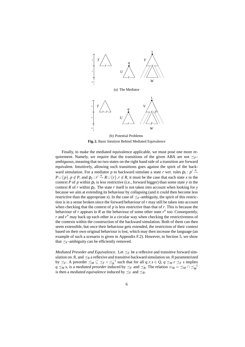

**Fig. 2.** Basic Intuition Behind Mediated Equivalence

Finally, to make the mediated equivalence applicable, we must pose one more requirement. Namely, we require that the transitions of the given ABA are not  $\leq_F$ *ambiguous*, meaning that no two states on the right hand side of a transition are forward equivalent. Intuitively, allowing such transitions goes against the spirit of the backward simulation. For a mediator *p* to backward simulate a state *r* wrt. rules  $\rho_1 : p' \stackrel{a}{\rightarrow}$  $P \cup \{p\}$ ,  $p \notin P$ , and  $\rho_2 : r' \stackrel{a}{\rightarrow} R \cup \{r\}$ ,  $r \notin R$ , it must be the case that each state *x* in the context *P* of *p* within  $\rho_1$  is less restrictive (i.e., forward bigger) than some state *y* in the context *R* of *r* within  $\rho_2$ . The state *r* itself is not taken into account when looking for *y* because we aim at extending its behaviour by collapsing (and it could then become less restrictive than the appropriate *x*). In the case of  $\preceq_F$ -ambiguity, the spirit of this restriction is in a sense broken since the forward behaviour of *r* may still be taken into account when checking that the context of *p* is less restrictive than that of *r*. This is because the behaviour of  $r$  appears in  $R$  as the behaviour of some other state  $r''$  too. Consequently, *r* and *r* ′′ may back up each other in a circular way when checking the restrictiveness of the contexts within the construction of the backward simulation. Both of them can then seem extensible, but once their behaviour gets extended, the restriction of their context based on their own original behaviour is lost, which may then increase the language (an example of such a scenario is given in Appendix F.2). However, in Section 5, we show that  $\prec_F$ -ambiguity can be efficiently removed.

*Mediated Preorder and Equivalence.* Let  $\preceq_F$  be a reflexive and transitive forward simulation on  $\mathcal{A}$ , and  $\leq_B$  a reflexive and transitive backward simulation on  $\mathcal{A}$  parameterized by  $\leq_F$ . A preorder  $\leq_M \subseteq \leq_F \circ \leq_B^{-1}$  such that for all  $q, r, s \in Q$ ,  $q \leq_M r \leq_F s$  implies *q*  $\leq$  *M s*, is a *mediated preorder* induced by  $\leq$  *F* and  $\leq$  *B*. The relation  $\equiv$  *M* =  $\leq$  *M*  $\cap$   $\leq$   $\leq$  *M* is then a *mediated equivalence* induced by  $\preceq_F$  and  $\preceq_B$ .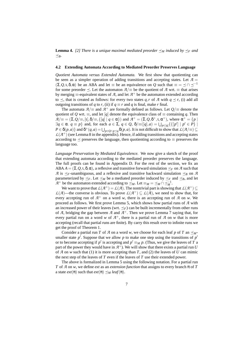**Lemma 4.** [2] There is a unique maximal mediated preorder  $\preceq_M$  induced by  $\preceq_F$  and  $\preceq_B$ *.* 

#### **4.2 Extending Automata According to Mediated Preorder Preserves Language**

*Quotient Automata versus Extended Automata.* We first show that quotienting can be seen as a simpler operation of adding transitions and accepting states. Let  $A =$  $(\Sigma, Q, \iota, \delta, \alpha)$  be an ABA and let  $\equiv$  be an equivalence on *Q* such that  $\equiv$  =  $\preceq$   $\cap$   $\preceq$ <sup>-1</sup> for some preorder  $\leq$ . Let the automaton  $\mathcal{A}/\equiv$  be the quotient of  $\mathcal{A}$  wrt.  $\equiv$  that arises by merging  $\equiv$ -equivalent states of *A*, and let  $A^+$  be the automaton extended according to  $\prec$ , that is created as follows: for every two states *q*,*r* of *A* with  $q \prec r$ , (i) add all outgoing transitions of *q* to *r*, (ii) if  $q \equiv r$  and *q* is final, make *r* final.

The automata  $A/\equiv$  and  $A^+$  are formally defined as follows. Let  $Q/\equiv$  denote the quotient of *Q* wrt.  $\equiv$ , and let [*q*] denote the equivalence class of  $\equiv$  containing *q*. Then  $A/\equiv = (\Sigma, \widetilde{Q}/\equiv, [1], \delta/\equiv, \{[q] \mid q \in \alpha\})$  and  $A^+ = (\Sigma, Q, \delta^+, \iota, \alpha^+),$  where  $\alpha^+ = \{p \mid \delta\}$  $\exists q \in \alpha$ .  $q \equiv p$ } and, for each  $a \in \Sigma$ ,  $q \in Q$ ,  $\delta / \equiv ([q], a) = \bigcup_{p \in [q]} \{ \{ [p'] \mid p' \in P \} \}$  $P \in \delta(p,a)$ } and  $\delta^+(q,a) = \bigcup_{p \in Q \land p \preceq q} \delta(p,a)$ . It is not difficult to show that  $L(\mathcal{A}/\equiv) \subseteq$  $L(A^+)$  (see Lemma 8 in the appendix). Hence, if adding transitions and accepting states according to  $\leq$  preserves the language, then quotienting according to  $\equiv$  preserves the language too.

*Language Preservation by Mediated Equivalence.* We now give a sketch of the proof that extending automata according to the mediated preorder preserves the language. The full proofs can be found in Appendix D. For the rest of the section, we fix an ABA  $A = (\Sigma, Q, t, \delta, \alpha)$ , a reflexive and transitive forward simulation  $\preceq_F$  on A such that *A* is  $\leq_F$ -unambiguous, and a reflexive and transitive backward simulation  $\leq_B$  on *A* parameterized by  $\preceq_F$ . Let  $\preceq_M$  be a mediated preorder induced by  $\preceq_F$  and  $\preceq_B$ , and let  $A^+$  be the automaton extended according to  $\leq_M$ . Let  $\equiv_M = \leq_M \cap \leq_M^{-1}$ .

We want to prove that  $L(\mathcal{A}^+) = L(\mathcal{A})$ . The nontrivial part is showing that  $L(\mathcal{A}^+) \subseteq$ *L*(*A*)—the converse is obvious. To prove *L*(*A*<sup>+</sup>) ⊆ *L*(*A*), we need to show that, for every accepting run of  $A^+$  on a word *w*, there is an accepting run of  $A$  on *w*. We proceed as follows. We first prove Lemma 5, which shows how partial runs of *A* with an increased power of their leaves (wrt.  $\leq_F$ ) can be built incrementally from other runs of *A*, bridging the gap between *A* and  $\overline{A}^+$ . Then we prove Lemma 7 saying that, for every partial run on a word *w* of  $A^+$ , there is a partial run of  $A$  on *w* that is more accepting (recall that partial runs are finite). By carry this result over to infinite runs we get the proof of Theorem 1.

Consider a partial run *T* of *A* on a word *w*, we choose for each leaf *p* of *T* an  $\leq_M$ smaller state  $p'$ . Suppose that we allow  $p$  to make one step using the transitions of  $p'$ or to become accepting if  $p'$  is accepting and  $p' \equiv_M p$ . (Thus, we give the leaves of *T* a part of the power they would have in  $A^+$ ). We will show that there exists a partial run *U* of  $A$  on  $w$  such that (1) it is more accepting than  $T$ , and (2) the leaves of  $U$  can mimic the next step of the leaves of *T* even if the leaves of *T* use their extended power.

The above is formalized in Lemma 5 using the following notation. For a partial run *T* of *A* on *w*, we define *ext* as an *extension function* that assigns to every branch  $\pi$  of *T* a state  $ext(\pi)$  such that  $ext(\pi) \preceq_M leaf(\pi)$ .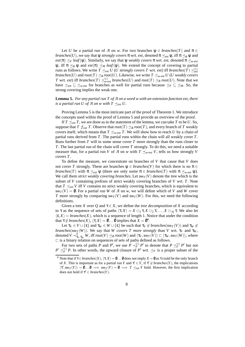Let *U* be a partial run of *A* on *w*. For two branches  $\psi \in branches(T)$  and  $\pi \in$ *branches*(*U*), we say that  $\psi$  *strongly covers*  $\pi$  wrt. *ext*, denoted  $\pi \preceq_{ext} \psi$ , iff  $\pi \preceq_{\alpha} \psi$  and  $ext(\pi) \leq_F \text{leaf}(\psi)$ . Similarly, we say that  $\psi$  *weakly covers*  $\pi$  wrt. *ext*, denoted  $\pi \leq_{w-\text{ext}}$  $\psi$ , iff  $\pi \preceq_{\alpha} \psi$  and  $ext(\pi) \preceq_M leaf(\psi)$ . We extend the concept of covering to partial runs as follows. We write  $T \preceq_{ext} U$  (*U strongly covers T wrt. ext)* iff *branches*(*T*)  $\preceq_{ext}^{\forall \exists}$ *branches*(*U*) and *root*(*T*)  $\leq_B$  *root*(*U*). Likewise, we write  $T \leq_{\text{w-ext}} U$  (*U* weakly covers *T* wrt. *ext*) iff *branches*(*T*)  $\preceq^{\forall \exists}_{w \text{-} ext}$  *branches*(*U*) and *root*(*T*)  $\preceq_B root$  *root*(*U*). Note that we have  $\leq_{ext} \subseteq \leq_{w-ext}$  for branches as well for partial runs because  $\leq_F \subseteq \leq_M$ . So, the strong covering implies the weak one.

**Lemma 5.** *For any partial run T of A on a word w with an extension function ext, there is a partial run U of A on w with*  $T \preceq_{ext} U$ .

Proving Lemma 5 is the most intricate part of the proof of Theorem 1. We introduce the concepts used within the proof of Lemma 5 and provide an overview of the proof.

If  $T \leq_{ext} T$ , we are done as in the statement of the lemma, we can take *T* to be *U*. So, suppose that *T*  $\not\preceq_{ext}$  *T*. Observe that  $root(T) \preceq_B root(T)$ , and every branch of *T* weakly covers itself, which means that  $T \leq_{w\text{-}ext} T$ . We will show how to reach U by a chain of partial runs derived from *T*. The partial runs within the chain will all weakly cover *T*. Runs further from *T* will in some sense cover *T* more strongly than the runs closer to *T*. The last partial run of the chain will cover *T* strongly. To do this, we need a suitable measure that, for a partial run *V* of *A* on *w* with  $T \leq_{w\text{-}ext} V$ , tells us how strongly *V* covers *T*.

To define the measure, we concentrate on branches of *V* that cause that *V* does not cover *T* strongly. These are branches  $\psi \in branches(V)$  for which there is no  $\pi \in$ *branches*(*T*) with  $\pi \leq_{ext} \psi$  (there are only some  $\pi \in branches(T)$  with  $\pi \leq_{w-ext} \psi$ ). We call them *strict weakly covering branches*. Let  $sw_T(V)$  denote the tree which is the subset of *V* containing prefixes of strict weakly covering branches of *V* wrt. *T*. Note that  $T \leq_{ext} V$  iff *V* contains no strict weakly covering branches, which is equivalent to  $sw_T(V) = 0$ . For a partial run *W* of *A* on *w*, we will define which of *V* and *W* cover *T* more strongly by comparing  $sw_T(V)$  and  $sw_T(W)$ . For this, we need the following definitions.

Given a tree *X* over *Q* and  $\tau \in X$ , we define the *tree decomposition* of *X* according to  $\tau$  as the sequence of sets of paths  $\langle \tau, X \rangle = X \ominus_1 \tau, X \ominus_2 \tau, \ldots, X \ominus_{|\tau|} \tau$ . We also let  $\langle \epsilon, X \rangle = branches(X)$ , which is a sequence of length 1. Notice that under the condition that  $\tau \not\in branches(X), \, \langle \tau,X \rangle = \emptyset \dots \emptyset$  implies that  $X = \emptyset^4.$ 

Let  $\tau_V \in V \cup \{\varepsilon\}$  and  $\tau_W \in W \cup \{\varepsilon\}$  be such that  $\tau_V \notin branches(\mathsf{sw}_T(V))$  and  $\tau_W \notin$ *branches*(sw<sub>T</sub>(W)). We say that *W covers T more strongly* than *V* wrt.  $\tau_V$  and  $\tau_W$ , denoted  $V \prec^T_{\tau_V, \tau_W} W$ , iff  $root(V) \preceq_B root(W)$  and  $\langle \tau_V, sw_T(V) \rangle \sqsubset \langle \tau_W, sw_T(W) \rangle$ , where ⊏ is a binary relation on sequences of sets of paths defined as follows.

For two sets of paths *P* and *P'*, we use  $P \prec_F^{\forall \exists} P'$  to denote that  $P \preceq_F^{\forall \exists} P'$  but not *P*<sup> $'$ </sup>  $\preceq^{\forall\exists}_{F} P$ . In other words, the upward closure of *P*<sup> $'$ </sup> wrt.  $\preceq_F$  is a proper subset of the

<sup>&</sup>lt;sup>4</sup> Note that if  $\tau \in branches(X), \langle \tau, X \rangle = \emptyset$ ...0 does not imply  $X = \emptyset$  as  $\tau$  could be the only branch of *X*. This is important as for a partial run *Y* and  $\tau' \in Y$ , if  $\tau' \notin branches(Y)$ , the implications  $\langle \tau', s w_T(Y) \rangle = \emptyset \dots \emptyset \implies sw_T(Y) = \emptyset \implies T \preceq_{ext} Y$  hold. However, the first implication does not hold if  $\tau' \in branches(Y)$ .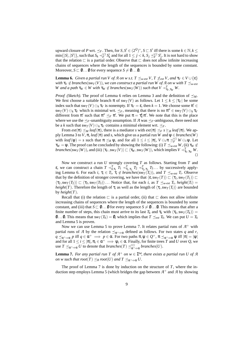upward closure of *P* wrt.  $\preceq_F$ . Then, for  $S, S' \in (2^Q)^*$ ,  $S \sqsubset S'$  iff there is some  $k \in \mathbb{N}, k \leq$  $\min\{|S|,|S'|\}$ , such that  $S_k \prec_F^{\forall\exists} S'_k$  and for all  $1 \leq j < k$ ,  $S_j \preceq_F^{\forall\exists} S'_j$ . It is not hard to show that the relation  $\sqsubset$  is a partial order. Observe that  $\sqsubset$  does not allow infinite increasing chains of sequences where the length of the sequences is bounded by some constant. Moreover,  $S \sqsubset \emptyset \dots \emptyset$  for every sequence  $S \neq \emptyset \dots \emptyset$ .

**Lemma 6.** *Given a partial run V of A on w s.t.*  $T \leq_{w\text{-}ext} V$ ,  $T \nleq_{ext} V$ , and  $\tau_V \in V \cup \{\varepsilon\}$ *with*  $\tau_V \notin branches(\mathsf{sw}_T(V))$ , we can construct a partial run W of A on w with  $T \preceq_{w-\text{ext}}$ *W* and a path  $\tau_W \in W$  with  $\tau_W \notin branches(\mathsf{sw}_T(W))$  such that  $V \prec^T_{\tau_V,\tau_W} W$ .

*Proof (Sketch).* The proof of Lemma 6 relies on Lemma 3 and the definition of  $\preceq_M$ . We first choose a suitable branch  $\pi$  of  $sw_T(V)$  as follows. Let  $1 \leq k \leq |\tau_V|$  be some index such that  $sw_T(V) \ominus_k \tau_V$  is nonempty. If  $\tau_V = \varepsilon$ , then  $k = 1$ . We choose some  $\pi' \in$  $\mathsf{sw}_T(V) \ominus_k \tau_V$  which is minimal wrt.  $\preceq_F$ , meaning that there is no  $\pi'' \in \mathsf{sw}_T(V) \ominus_k \tau_V$ different from  $\pi'$  such that  $\pi'' \preceq_F \pi'$ . We put  $\pi = \tau_V^k \pi'$ . We note that this is the place where we use the  $\preceq_F$ -unambiguity assumption. If  $\mathcal A$  was  $\preceq_F$ -ambiguous, there need not be a *k* such that sw $_T(V) \ominus_k \tau_V$  contains a minimal element wrt.  $\preceq_F$ .

From *ext*( $\pi$ )  $\preceq_M$  *leaf*( $\pi$ ), there is a mediator *s* with *ext*( $\pi$ )  $\preceq_F$  *s*  $\succeq_B$  *leaf*( $\pi$ ). We apply Lemma 3 to *V*,  $\pi$ , *leaf*( $\pi$ ) and *s*, which give us a partial run *W* and  $\psi \in branches(W)$ with  $leaf(\psi) = s$  such that  $\pi \leq_B \psi$ , and for all  $1 \leq i \leq |\pi|$ ,  $V \ominus_i \pi \leq_F^{\forall \exists} W \ominus_i \psi$ . Let  $\tau_W = \psi$ . The proof can be concluded by showing the following: (i)  $T \leq_{w-\text{ext}} W$ , (ii)  $\tau_W \notin$  $\forall b$  *ranches*(sw $_T(W)$ ), and (iii)  $\langle \tau_V, \text{sw}_T(V) \rangle \sqsubset \langle \tau_W, \text{sw}_T(W) \rangle$ , which implies  $V \prec^T_{\tau_V, \tau_W} W$ . ⊓⊔

Now we construct a run *U* strongly covering *T* as follows. Starting from *T* and ε, we can construct a chain *T*  $\prec^T_{\epsilon, \tau_1} T_1 \prec^T_{\tau_1, \tau_2} T_2 \prec^T_{\tau_2, \tau_3} T_3$ ... by successively applying Lemma 6. For each *i*,  $\tau_i \in T_i$ ,  $\tau_i \notin branches(sw_T(T_i))$ , and  $T \preceq_{w-ext} T_i$ . Observe that by the definition of stronger covering, we have that  $\langle \epsilon, sw_T(T) \rangle \sqsubset \langle \tau_1, sw_T(T_1) \rangle \sqsubset$  $\langle \tau_2, \text{sw}_T(T_2) \rangle \subset \langle \tau_3, \text{sw}_T(T_3) \rangle \dots$  Notice that, for each *i*, as  $T \preceq_{\text{w-ext}} T_i$ , height $(T_i)$ *height*(*T*). Therefore the length of  $\tau$ *i* as well as the length of  $\langle \tau$ *i*,  $sw_T(T_i) \rangle$  are bounded by *height*(*T*).

Recall that (i) the relation  $\Gamma$  is a partial order, (ii) that  $\Gamma$  does not allow infinite increasing chains of sequences where the length of the sequences is bounded by some constant, and (iii) that  $S \subseteq \emptyset \dots \emptyset$  for every sequence  $S \neq \emptyset \dots \emptyset$ . This means that after a finite number of steps, this chain must arrive to its last  $T_k$  and  $\tau_k$  with  $\langle \tau_k, s w_T(T_k) \rangle =$ 0...0. This means that  $sw_T(T_k) = 0$ , which implies that  $T \leq_{ext} T_k$ . We can put  $U = T_k$ and Lemma 5 is proven.

Now we can use Lemma 5 to prove Lemma 7. It relates partial runs of  $A^+$  with partial runs of *A* by the relation  $\leq_{\alpha^+\Rightarrow\alpha}$  defined as follows. For two states *q* and *r*, *q*  $\preceq_{\alpha^+ \Rightarrow \alpha} p$  iff *q* ∈ α<sup>+</sup>  $\implies p \in \alpha$ . For two paths π,  $\psi \in \mathcal{Q}^+$ , π  $\preceq_{\alpha^+ \Rightarrow \alpha} \psi$  iff  $|\pi| = |\psi|$ and for all  $1\leq i\leq |\pi|,$   $\pi_i\in \alpha^+\implies \psi_i\in \alpha.$  Finally, for finite trees  $T$  and  $U$  over  $Q$ , we  $u$ se  $T \preceq_{\alpha^+ \Rightarrow \alpha} U$  to denote that  $branches(T) \preceq^{\forall \exists}_{\alpha^+ \Rightarrow \alpha} branches(U)$ .

**Lemma 7.** *For any partial run T of*  $A^+$  *on*  $w \in \Sigma^\omega$ *, there exists a partial run U of*  $A$ *on w such that root*(*T*)  $\leq_B$  *root*(*U*) *and*  $T \leq_{\alpha^+ \Rightarrow \alpha} U$ .

The proof of Lemma 7 is done by induction on the structure of *T*, where the induction step employs Lemma 5 (which bridges the gap between *A* <sup>+</sup> and *A* by showing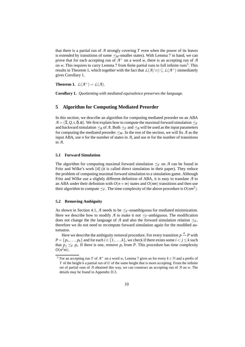that there is a partial run of  $\mathcal A$  strongly covering  $T$  even when the power of its leaves is extended by transitions of some  $\leq_M$ -smaller states). With Lemma 7 in hand, we can prove that for each accepting run of  $A^+$  on a word *w*, there is an accepting run of  $A$ on *w*. This requires to carry Lemma 7 from finite partial runs to full infinite runs<sup>5</sup>. This results in Theorem 1, which together with the fact that  $\mathcal{L}(\mathcal{A}) \equiv \mathcal{L}(\mathcal{A}^+)$  immediately gives Corollary 1.

**Theorem 1.**  $L(\mathcal{A}^+) = L(\mathcal{A})$ .

**Corollary 1.** *Quotienting with mediated equivalence preserves the language.*

# **5 Algorithm for Computing Mediated Preorder**

In this section, we describe an algorithm for computing mediated preorder on an ABA  $A = (\Sigma, Q, \iota, \delta, \alpha)$ . We first explain how to compute the maximal forward simulation  $\prec_F$ and backward simulation  $\leq_B$  of *A*. Both  $\leq_F$  and  $\leq_B$  will be used as the input parameters for computing the mediated preorder  $\leq_M$ . In the rest of the section, we will fix  $\mathcal A$  as the input ABA, use *n* for the number of states in *A*, and use *m* for the number of transitions in *A*.

# **5.1 Forward Simulation**

The algorithm for computing maximal forward simulation  $\leq_F$  on A can be found in Fritz and Wilke's work [4] (it is called direct simulation in their paper). They reduce the problem of computing maximal forward simulation to a simulation game. Although Fritz and Wilke use a slightly different definition of ABA, it is easy to translate *A* to an ABA under their definition with  $O(n+m)$  states and  $O(nm)$  transitions and then use their algorithm to compute  $\preceq_F$ . The time complexity of the above procedure is  $O(nm^2)$ .

# **5.2 Removing Ambiguity**

As shown in Section 4.1,  $\mathcal A$  needs to be  $\prec_F$ -unambiguous for mediated minimization. Here we describe how to modify *A* to make it not  $\prec_F$ -ambiguous. The modification does not change the the language of *A* and also the forward simulation relation  $\preceq_F$ , therefore we do not need to recompute forward simulation again for the modified automaton.

Here we describe the ambiguity removal procedure. For every transition  $p \stackrel{a}{\rightarrow} P$  with  $P = \{p_1, \ldots, p_k\}$  and for each  $i \in \{1, \ldots, k\}$ , we check if there exists some  $i < j \leq k$  such that  $p_j \leq_F p_i$ . If there is one, remove  $p_i$  from *P*. This procedure has time complexity  $O(n^2m)$ .

<sup>&</sup>lt;sup>5</sup> For an accepting run *T* of  $A^+$  on a word *w*, Lemma 7 gives us for every  $k \in \mathbb{N}$  and a prefix of *T* of the height *k* a partial run of *U* of the same height that is more accepting. From the infinite set of partial runs of *A* obtained this way, we can construct an accepting run of *A* on *w*. The details may be found in Appendix D.3.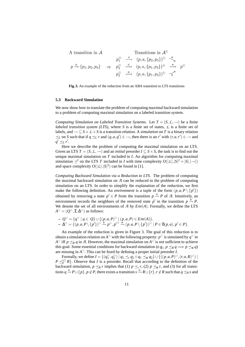A transition in 
$$
\mathcal{A}
$$
  
\n $p_1^{\odot} \xrightarrow{a} (p, a, \{p_2, p_3\})^{\odot} \xrightarrow{a}$   
\n $p \xrightarrow{a} \{p_1, p_2, p_3\} \Rightarrow p_2^{\odot} \xrightarrow{a} (p, a, \{p_1, p_3\})^{\odot} \xrightarrow{a} p_2^{\odot}$   
\n $p_3^{\odot} \xrightarrow{a} (p, a, \{p_1, p_2\})^{\odot} \xrightarrow{a}$ 

**Fig. 3.** An example of the reduction from an ABA transition to LTS transitions

#### **5.3 Backward Simulation**

We now show how to translate the problem of computing maximal backward simulation to a problem of computing maximal simulation on a labeled transition system.

*Computing Simulation on Labeled Transition Systems.* Let  $T = (S, \mathcal{L}, \rightarrow)$  be a finite *labeled transition system (LTS)*, where *S* is a finite set of states,  $\mathcal{L}$  is a finite set of labels, and  $\rightarrow \subseteq S \times L \times S$  is a transition relation. A *simulation* on *T* is a binary relation  $\preceq_L$  on *S* such that if  $q \preceq_L r$  and  $(q, a, q') \in \rightarrow$ , then there is an *r*' with  $(r, a, r') \in \rightarrow$  and  $q' \preceq_L r'$ .

Here we describe the problem of computing the maximal simulation on an LTS. Given an LTS  $T = (S, L, \rightarrow)$  and an *initial* preorder  $I \subseteq S \times S$ , the task is to find out the unique maximal simulation on *T* included in *I*. An algorithm for computing maximal simulation  $\leq^I$  on the LTS *T* included in *I* with time complexity  $O(|\mathcal{L}|, |S|^2 + |S|, |\rightarrow|)$ and space complexity  $O(|L|, |S|^2)$  can be found in [1].

*Computing Backward Simulation via a Reduction to LTS.* The problem of computing the maximal backward simulation on *A* can be reduced to the problem of computing simulation on an LTS. In order to simplify the explanation of the reduction, we first make the following definition. An *environment* is a tuple of the form  $(p, a, P \setminus \{p'\})$ obtained by removing a state  $p' \in P$  from the transition  $p \stackrel{a}{\rightarrow} P$  of *A*. Intuitively, an environment records the neighbors of the removed state  $p'$  in the transition  $p \stackrel{a}{\rightarrow} P$ . We denote the set of all environments of *A* by *Env*(*A*). Formally, we define the LTS  $A^{\odot} = (Q^{\odot}, \Sigma, \Delta^{\odot})$  as follows:

$$
Q^{\odot} = \{q^{\odot} \mid q \in Q\} \cup \{(p,a,P)^{\odot} \mid (p,a,P) \in Env(A)\}.
$$
  

$$
-\Delta^{\odot} = \{(p,a,P\setminus \{p'\})^{\odot} \stackrel{a}{\rightarrow} p^{\odot}, p'^{\odot} \stackrel{a}{\rightarrow} (p,a,P\setminus \{p'\})^{\odot} \mid P \in \delta(p,a), p' \in P\}.
$$

An example of the reduction is given in Figure 3. The goal of this reduction is to obtain a simulation relation on *A* $\circ$  with the following property: *p* $\circ$  is simulated by *q* $\circ$  in *A*<sup>⊙</sup> iff *p*  $\preceq_B q$  in *A*. However, the maximal simulation on *A*<sup>⊙</sup> is not sufficient to achieve this goal. Some essential conditions for backward simulation (e.g.,  $p \preceq_B q \Longrightarrow p \preceq_{\alpha} q$ ) are missing in *A* <sup>⊙</sup>. This can be fixed by defining a proper initial preorder *I*.

Formally, we define  $I = \{(q_1^{\odot}, q_2^{\odot}) \mid q_1 \leq q_2 \land q_1 \leq \alpha q_2\} \cup \{((p, a, P)^{\odot}, (r, a, R)^{\odot}) \mid$ *P*  $\preceq_F^{\forall\exists} R$ . Observe that *I* is a preorder. Recall that according to the definition of the backward simulation,  $p \leq_B r$  implies that (1)  $p \leq_t r$ , (2)  $p \leq_\alpha r$ , and (3) for all transitions  $q \xrightarrow{a} P \cup \{p\}$ ,  $p \notin P$ , there exists a transition  $s \xrightarrow{a} R \cup \{r\}$ ,  $r \notin R$  such that  $q \preceq_B s$  and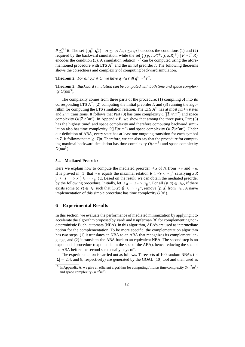$P \preceq_F^{\forall \exists} R$ . The set  $\{(q_1^{\odot}, q_2^{\odot}) \mid q_1 \preceq_1 q_2 \land q_1 \preceq_{\alpha} q_2\}$  encodes the conditions (1) and (2) required by the backward simulation, while the set  $\{((p,a,P)^\odot,(r,a,R)^\odot) \mid P \preceq_F^{\forall \exists} R\}$ encodes the condition (3). A simulation relation  $\preceq^I$  can be computed using the aforementioned procedure with LTS *A* <sup>⊙</sup> and the *initial* preorder *I*. The following theorems shows the correctness and complexity of computing backward simulation.

**Theorem 2.** For all  $q, r \in Q$ , we have  $q \preceq_B r$  iff  $q^{\odot} \preceq^I r^{\odot}$ .

**Theorem 3.** *Backward simulation can be computed with both time and space complex*ity  $O(nm^3)$ .

The complexity comes from three parts of the procedure: (1) compiling *A* into its corresponding LTS  $A^{\odot}$ , (2) computing the initial preorder *I*, and (3) running the algorithm for computing the LTS simulation relation. The LTS *A* <sup>⊙</sup> has at most *nm*+*n* states and 2*nm* transitions. It follows that Part (3) has time complexity  $O(|\Sigma|n^2m^2)$  and space complexity  $O(|\Sigma|n^2m^2)$ . In Appendix E, we show that among the three parts, Part (3) has the highest time<sup>6</sup> and space complexity and therefore computing backward simulation also has time complexity  $O(|\Sigma|n^2m^2)$  and space complexity  $O(|\Sigma|n^2m^2)$ . Under our definition of ABA, every state has at least one outgoing transition for each symbol in Σ. It follows that  $m > |\Sigma|n$ . Therefore, we can also say that the procedure for computing maximal backward simulation has time complexity  $O(nm^3)$  and space complexity *O*(*nm*<sup>3</sup> ).

#### **5.4 Mediated Preorder**

Here we explain how to compute the mediated preorder  $\preceq_M$  of A from  $\preceq_F$  and  $\preceq_B$ . It is proved in [1] that  $\leq_M$  equals the maximal relation  $R \subseteq \leq_F \circ \leq_B^{-1}$  satisfying *x R*  $y \leq_F z \implies x \left( \leq_F \circ \leq_B^{-1} \right) z$ . Based on the result, we can obtain the mediated preorder by the following procedure. Initially, let  $\preceq_M = \preceq_F \circ \preceq_B^{-1}$ . For all  $(p,q) \in \preceq_M$ , if there exists some  $(q, r) \in \leq_F$  such that  $(p, r) \notin \leq_F \circ \leq_B^{-1}$ , remove  $(p, q)$  from  $\leq_M$ . A naive implementation of this simple procedure has time complexity  $O(n^3)$ .

### **6 Experimental Results**

In this section, we evaluate the performance of mediated minimization by applying it to accelerate the algorithm proposed by Vardi and Kupferman [8] for complementing nondeterministic Büchi automata (NBA). In this algorithm, ABA's are used as intermediate notion for the complementation. To be more specific, the complementation algorithm has two steps: (1) it translates an NBA to an ABA that recognizes its complement language, and (2) it translates the ABA back to an equivalent NBA. The second step is an exponential procedure (exponential in the size of the ABA), hence reducing the size of the ABA before the second step usually pays off.

The experimentation is carried out as follows. Three sets of 100 random NBA's (of  $|\Sigma| = 2.4$ , and 8, respectively) are generated by the GOAL [10] tool and then used as

<sup>&</sup>lt;sup>6</sup> In Appendix A, we give an efficient algorithm for computing *I*. It has time complexity  $O(n^2m^2)$ and space complexity  $O(n^2m^2)$ .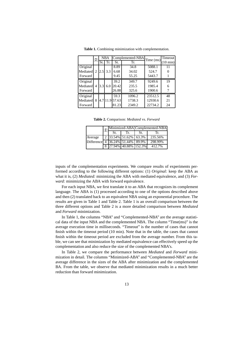|          | Σ | <b>NBA</b><br>Complemented-NBA |     |                | Time (ms) | Timeout |                    |
|----------|---|--------------------------------|-----|----------------|-----------|---------|--------------------|
|          |   | St.                            | Tr. | Tr.<br>St.     |           |         | $(10 \text{ min})$ |
| Original |   |                                |     | 8.89           | 34.8      | 5088.1  | 11                 |
| Mediated | 2 | 12.5                           | 3.3 | 6.68           | 34.02     | 524.7   |                    |
| Forward  |   |                                |     | 9.45           | 55.25     | 5443.7  |                    |
| Original |   |                                |     | 39.2           | 349.7     | 9249.6  | 19                 |
| Mediated | 4 | 3.3                            | 6.0 | 20.42          | 235.5     | 1985.4  | 6                  |
| Forward  |   |                                |     | 26.88          | 325.6     | 1900.6  |                    |
| Original |   |                                |     | 59.3           | 1096.2    | 23512.5 | 48                 |
| Mediated | 8 |                                |     | 4.7 11.9 57.63 | 1738.3    | 12930.6 | 21                 |
| Forward  |   |                                |     | 81.23          | 2349.2    | 22734.2 | 24                 |

**Table 1.** Combining minimization with complementation.

**Table 2.** Comparison: *Mediated* vs. *Forward*

|                                  |     |                        | Minimized-ABA Complemented-NBA |         |  |
|----------------------------------|-----|------------------------|--------------------------------|---------|--|
|                                  | St. | Tr.                    | St.                            | Тr.     |  |
| Average                          |     | 2 33.54% 51.62% 63.3%  |                                | 235.56% |  |
| Difference 4 36.24% 51.44% 89.9% |     |                        |                                | 298.99% |  |
|                                  |     | 8 27.94% 40.88% 152.3% |                                | 412.7%  |  |

inputs of the complementation experiments. We compare results of experiments performed according to the following different options: (1) *Original:* keep the ABA as what it is, (2) *Mediated:* minimizing the ABA with mediated equivalence, and (3) *Forward:* minimizing the ABA with forward equivalence.

For each input NBA, we first translate it to an ABA that recognizes its complement language. The ABA is (1) processed according to one of the options described above and then (2) translated back to an equivalent NBA using an exponential procedure. The results are given in Table 1 and Table 2. Table 1 is an overall comparison between the three different options and Table 2 is a more detailed comparison between *Mediated* and *Forward* minimization.

In Table 1, the columns "NBA" and "Complemented-NBA" are the average statistical data of the input NBA and the complemented NBA. The column "Time(ms)" is the average execution time in milliseconds. "Timeout" is the number of cases that cannot finish within the timeout period (10 min). Note that in the table, the cases that cannot finish within the timeout period are excluded from the average number. From this table, we can see that minimization by mediated equivalence can effectively speed up the complementation and also reduce the size of the complemented NBA's.

In Table 2, we compare the performance between *Mediated* and *Forward* minimization in detail. The columns "Minimized-ABA" and "Complemented-NBA" are the average difference in the sizes of the ABA after minimization and the complemented BA. From the table, we observe that mediated minimization results in a much better reduction than forward minimization.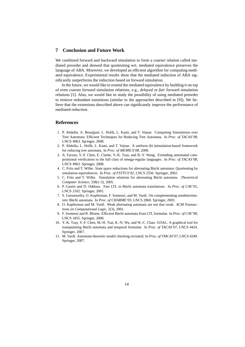# **7 Conclusion and Future Work**

We combined forward and backward simulation to form a coarser relation called mediated preorder and showed that quotienting wrt. mediated equivalence preserves the language of ABA. Moreover, we developed an efficient algorithm for computing mediated equivalence. Experimental results show that the mediated reduction of ABA significantly outperforms the reduction based on forward simulation.

In the future, we would like to extend the mediated equivalence by building it on top of even coarser forward simulation relations, e.g., *delayed* or *fair* forward simulation relations [5]. Also, we would like to study the possibility of using mediated preorder to remove redundant transitions (similar to the approaches described in [9]). We believe that the extensions described above can significantly improve the performance of mediated reduction.

# **References**

- 1. P. Abdulla, A. Bouajjani, L. Holík, L. Kaati, and T. Vojnar. Computing Simulations over Tree Automata: Efficient Techniques for Reducing Tree Automata. In *Proc. of TACAS'08*, LNCS 4963. Springer, 2008.
- 2. P. Abdulla, L. Holík, L. Kaati, and T. Vojnar. A uniform (bi-)simulation-based framework for reducing tree automata. In *Proc. of MEMICS'08*, 2008.
- 3. A. Farzan, Y.-F. Chen, E. Clarke, Y.-K. Tsay, and B.-Y. Wang. Extending automated compositional verification to the full class of omega-regular languages. In *Proc. of TACAS'08*, LNCS 4963. Springer, 2008.
- 4. C. Fritz and T. Wilke. State space reductions for alternating Büchi automata: Quotienting by simulation equivalences. In *Proc. of FSTTCS'02*, LNCS 2556. Springer, 2002.
- 5. C. Fritz and T. Wilke. Simulation relations for alternating Büchi automata. *Theoretical Computer Science*, 338(1-3), 2005.
- 6. P. Gastin and D. Oddoux. Fast LTL to Büchi automata translations. In *Proc. of CAV'01*, LNCS 2102. Springer, 2001.
- 7. S. Gurumurthy, O. Kupferman, F. Somenzi, and M. Vardi. On complementing nondeterministic Büchi automata. In *Proc. of CHARME'03*, LNCS 2860. Springer, 2003.
- 8. O. Kupferman and M. Vardi. Weak alternating automata are not that weak. *ACM Transactions on Computational Logic*, 2(3), 2001.
- 9. F. Somenzi and R. Bloem. Efficient Büchi automata from LTL formulae. In *Proc. of CAV'00*, LNCS 1855. Springer, 2000.
- 10. Y.-K. Tsay, Y.-F. Chen, M.-H. Tsai, K.-N. Wu, and W.-C. Chan. GOAL: A graphical tool for manipulating Büchi automata and temporal formulae. In Proc. of TACAS'07, LNCS 4424. Springer, 2007.
- 11. M. Vardi. Automata-theoretic model checking revisited. In *Proc. of VMCAI'07*, LNCS 4349. Springer, 2007.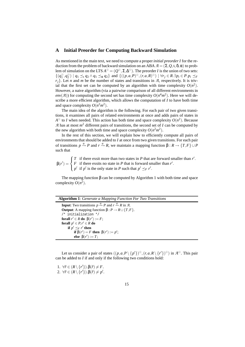### **A Initial Preorder for Computing Backward Simulation**

As mentioned in the main text, we need to compute a proper *initial preorder I* for the reduction from the problem of backward simulation on an ABA  $A = (\Sigma, Q, 1, \delta, \alpha)$  to problem of simulation on the LTS  $A^{\odot} = (Q^{\odot}, \Sigma, \Delta^{\odot})$ . The preorder *I* is the union of two sets:  $\{(q_1^{\odot},q_2^{\odot}) \mid q_1 \preceq_1 q_2 \land q_1 \preceq_{\alpha} q_2\}$  and  $\{((p,a,P)^{\odot},(r,a,R)^{\odot}) \mid \forall r_j \in R.\exists p_i \in P.p_i \preceq_{F}$  $r_i$ . Let *n* and *m* be the number of states and transitions in *A*, respectively. It is trivial that the first set can be computed by an algorithm with time complexity  $O(n^2)$ . However, a naive algorithm (via a pairwise comparison of all different environments in *env*( $A$ )) for computing the second set has time complexity  $O(n^4m^2)$ . Here we will describe a more efficient algorithm, which allows the computation of *I* to have both time and space complexity  $O(n^2m^2)$ .

The main idea of the algorithm is the following. For each pair of two given transitions, it examines all pairs of related environments at once and adds pairs of states in *A*<sup>⊙</sup> to *I* when needed. This action has both time and space complexity  $O(n^2)$ . Because *A* has at most  $m^2$  different pairs of transitions, the second set of *I* can be computed by the new algorithm with both time and space complexity  $O(n^2m^2)$ .

In the rest of this section, we will explain how to efficiently compute all pairs of environments that should be added to *I* at once from two given transitions. For each pair of transitions  $p \stackrel{a}{\rightarrow} P$  and  $r \stackrel{a}{\rightarrow} R$ , we maintain a mapping function  $\beta : R \rightarrow \{T, F\} \cup P$ such that

$$
\beta(r') = \begin{cases} T & \text{if there exist more than two states in } P \text{ that are forward smaller than } r'.\\ F & \text{if there exists no state in } P \text{ that is forward smaller than } r'.\\ p' & \text{if } p' \text{ is the only state in } P \text{ such that } p' \leq r'. \end{cases}
$$

The mapping function  $\beta$  can be computed by Algorithm 1 with both time and space complexity  $O(n^2)$ .

| <b>Algorithm 1:</b> Generate a Mapping Function For Two Transitions |  |  |  |  |  |
|---------------------------------------------------------------------|--|--|--|--|--|
|---------------------------------------------------------------------|--|--|--|--|--|

**Input**: Two transitions  $p \xrightarrow{a} P$  and  $r \xrightarrow{a} R$  in *A*. **Output:** A mapping function  $\beta : P \to R \cup \{T, F\}.$ /\* initialization \*/ **forall**  $r' \in R$  **do**  $\beta(r') := F$ ; **forall**  $p' \in P, r' \in R$  **do if**  $p' \preceq_F r'$  **then if**  $β(r') = F$  **then**  $β(r') := p'$ ; **else**  $\beta(r') := T$ ;

Let us consider a pair of states  $((p, a, P \setminus \{p'\})^{\odot}, (r, a, R \setminus \{r'\})^{\odot})$  in  $\mathcal{A}^{\odot}$ . This pair can be added to *I* if and only if the following two conditions hold:

1. 
$$
\forall \hat{r} \in (R \setminus \{r'\}) \cdot \beta(\hat{r}) \neq F.
$$
  
2.  $\forall \hat{r} \in (R \setminus \{r'\}) \cdot \beta(\hat{r}) \neq p'.$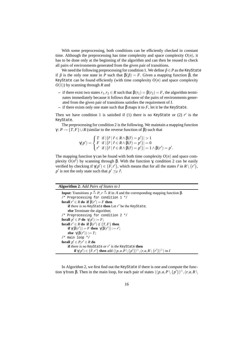With some preprocessing, both conditions can be efficiently checked in constant time. Although the preprocessing has time complexity and space complexity  $O(n)$ , it has to be done only at the beginning of the algorithm and can then be reused to check all pairs of environments generated from the given pair of transitions.

We need the following preprocessing for condition 1. We define  $\hat{p} \in P$  as the KeyState if  $\hat{p}$  is the only one state in *P* such that  $\beta(\hat{p}) = F$ . Given a mapping function  $\beta$ , the KeyState can be found efficiently (with time complexity  $O(n)$  and space complexity *O*(1)) by scanning through *R* and

- $−$  if there exist two states  $r_1, r_2 \in R$  such that  $β(r_1) = β(r_2) = F$ , the algorithm terminates immediately because it follows that none of the pairs of environments generated from the given pair of transitions satisfies the requirement of *I*.
- **–** if there exists only one state such that β maps it to *F*, let it be the KeyState.

Then we have condition 1 is satisfied if  $(1)$  there is no KeyState or  $(2)$   $r'$  is the KeyState.

The preprocessing for condition 2 is the following. We maintain a mapping function  $\gamma: P \to \{T, F\} \cup R$  (similar to the reverse function of  $\beta$ ) such that

$$
\gamma(p') = \begin{cases} T \text{ if } |\{\hat{r} \mid \hat{r} \in R \land \beta(\hat{r}) = p'\}| > 1 \\ F \text{ if } |\{\hat{r} \mid \hat{r} \in R \land \beta(\hat{r}) = p'\}| = 0 \\ r' \text{ if } |\{\hat{r} \mid \hat{r} \in R \land \beta(\hat{r}) = p'\}| = 1 \land \beta(r') = p'. \end{cases}
$$

The mapping function  $\gamma$  can be found with both time complexity  $O(n)$  and space complexity  $O(n^2)$  by scanning through β. With the function  $γ$ , condition 2 can be easily verified by checking if  $\gamma(p') \in \{F, r'\}$ , which means that for all the states  $\hat{r}$  in  $R \setminus \{r'\}$ , *p*<sup> $\prime$ </sup> is not the only state such that  $p' \preceq_F \hat{r}$ .

#### **Algorithm 2**: *Add Pairs of States to I*

```
Input: Transitions p \stackrel{a}{\rightarrow} P, r \stackrel{a}{\rightarrow} R in A and the corresponding mapping function \beta.
/* Preprocessing for condition 1 */
forall r' \in R do if \beta(r') = F then
     if there is no KeyState then Let r
′ be the KeyState;
    else Terminate the algorithm;
/* Preprocessing for condition 2 */
forall p' \in P do \gamma(p') := F;
forall r' \in R do if \beta(r') \notin \{T, F\} then
     if \gamma(\beta(r')) = F then \gamma(\beta(r')) := r';
     else \gamma(\beta(r')) := T;/* main loop */
forall p' \in P, r' \in R do
     if there is no KeyState or r′
is the KeyState then
          if \gamma(p') \in \{F, r'\} then add ((p, a, P \setminus \{p'\})^{\odot}, (r, a, R \setminus \{r'\})^{\odot}) to I
```
In Algorithm 2, we first find out the KeyState if there is one and compute the function γ from β. Then in the main loop, for each pair of states  $((p, a, P \setminus \{p'\})^{\odot}, (r, a, R \setminus \{p\}))$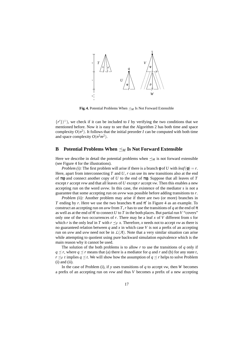

**Fig. 4.** Potential Problems When  $\leq_M$  Is Not Forward Extensible

 $\{r'\}\$ <sup>o</sup>), we check if it can be included to *I* by verifying the two conditions that we mentioned before. Now it is easy to see that the Algorithm 2 has both time and space complexity  $O(n^2)$ . It follows that the initial preorder *I* can be computed with both time and space complexity  $O(n^2m^2)$ .

# **B** Potential Problems When  $\preceq_M$  Is Not Forward Extensible

Here we describe in detail the potential problems when  $\preceq_M$  is not forward extensible (see Figure 4 for the illustrations).

*Problem (i):* The first problem will arise if there is a branch  $\phi$  of *U* with *leaf* ( $\phi$ ) = *r*. Here, apart from interconnecting  $T$  and  $U$ ,  $r$  can use its new transitions also at the end of π $\phi$  and connect another copy of *U* to the end of π $\phi$ . Suppose that all leaves of *T* except *r* accept *vvw* and that all leaves of *U* except *r* accept *vw*. Then this enables a new accepting run on the word *uvvw*. In this case, the existence of the mediator *s* is not a guarantee that some accepting run on *uvvw* was possible before adding transitions to *r*.

*Problem (ii):* Another problem may arise if there are two (or more) branches in *T* ending by *r*. Here we use the two branches  $\pi$  and  $\pi'$  in Figure 4 as an example. To construct an accepting run on *uvw* from *T*, *r* has to use the transitions of *q* at the end of  $\pi$ as well as at the end of  $\pi'$  to connect U to T in the both places. But partial run V "covers" only one of the two occurrences of *r*. There may be a leaf *x* of *V* different from *s* for which *r* is the only leaf in *T* with  $r \leq_F x$ . Therefore, *x* needs not to accept *vw* as there is no guaranteed relation between  $q$  and  $x$  in which case  $V$  is not a prefix of an accepting run on *uvw* and *uvw* need not be in  $L(\mathcal{A})$ . Note that a very similar situation can arise while attempting to quotient using pure backward simulation equivalence which is the main reason why it cannot be used.

The solution of the both problems is to allow *r* to use the transitions of *q* only if  $q \leq r$ , where  $q \leq r$  means that (a) there is a mediator for *q* and *r* and (b) for any state *t*, *r*  $\leq$  *f t* implies *q*  $\leq$  *t*. We will show how the assumption of *q*  $\leq$  *r* helps to solve Problem  $(i)$  and  $(ii)$ .

In the case of Problem (i), if *y* uses transitions of *q* to accept *vw*, then *W* becomes a prefix of an accepting run on *vvw* and thus *V* becomes a prefix of a new accepting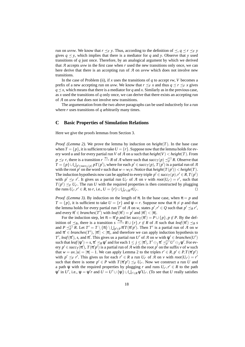run on *uvvw*. We know that  $r \leq_F y$ . Thus, according to the definition of  $\leq_q q \leq r \leq_F y$ gives  $q \le y$ , which implies that there is a mediator for *q* and *y*. Observe that *y* used transitions of *q* just once. Therefore, by an analogical argument by which we derived that *A* accepts *uvw* in the first case when *r* used the new transitions only once, we can here derive that there is an accepting run of *A* on *uvvw* which does not involve new transitions.

In the case of Problem (ii), if *x* uses the transitions of  $q$  to accept *vw*,  $V$  becomes a prefix of a new accepting run on *uvw*. We know that  $r \leq_F x$  and thus  $q \leq r \leq_F x$  gives  $q \leq x$ , which means that there is a mediator for *q* and *x*. Similarly as in the previous case, as *x* used the transitions of *q* only once, we can derive that there exists an accepting run of *A* on *uvw* that does not involve new transitions.

The argumentation from the two above paragraphs can be used inductively for a run where *r* uses transitions of *q* arbitrarily many times.

# **C Basic Properties of Simulation Relations**

Here we give the proofs lemmas from Section 3.

*Proof (Lemma 2).* We prove the lemma by induction on  $height(T)$ . In the base case when  $T = \{p\}$ , it is sufficient to take  $U = \{r\}$ . Suppose now that the lemma holds for every word *u* and for every partial run *V* of *A* on *u* such that *height*(*V*) < *height*(*T*). From *p*  $\leq$  *F r*, there is a transition *r* <sup>*w*<sub>1</sub></sub>  $\rightarrow$  *R* of *A* where such that *succ<sub><i>T*</sub>(*p*)  $\leq$ <sup> $\forall$  $=$ </sup>*R*. Observe that</sup> *T* = {*p*}∪ $\bigcup_{p' \in succ_T(p)} p(T(p')$ , where for each  $p' \in succ_T(p)$ ,  $\overline{T(p')}$  is a partial run of *A* with the root  $p'$  on the word  $\nu$  such that  $w = w_1 \nu$ . Notice that  $height(T(p')) < height(T)$ . The induction hypothesis now can be applied to every triple  $p' \in succ_T(p), r' \in R, T(p')$ with  $p' \preceq_F r'$ . It gives us a partial run  $U_{r'}$  of *A* on *v* with  $root(U_{r'}) = r'$ , such that  $T(p') \preceq_F U_{r'}$ . The run *U* with the required properties is then constructed by plugging the runs  $U_{r}$ <sup>*,*</sup>, $r' \in R$ , to *r*, i.e.,  $U = \{r\} \cup \bigcup_{r' \in R} rU_r$ ′ . ⊓⊔

*Proof (Lemma 3).* By induction on the length of  $\pi$ . In the base case, when  $\pi = p$  and  $T = \{p\}$ , it is sufficient to take  $U = \{r\}$  and  $\psi = r$ . Suppose now that  $\pi \neq p$  and that the lemma holds for every partial run  $T'$  of  $\mathcal A$  on  $w$ , states  $p', r' \in Q$  such that  $p' \preceq_B r'$ , and every  $\pi' \in branches(T')$  with  $leaf(\pi') = p'$  and  $|\pi'| < |\pi|$ .

For the induction step, let  $\pi = \pi' p$  and let  $succ_T(\pi') = P \cup \{p\}$ ,  $p \notin P$ . By the definition of  $\leq_B$ , there is a transition  $s \xrightarrow{\mu_{\text{min}}} R \cup \{r\}$ ,  $r \notin R$  of *A* such that  $\text{leaf}(\pi') \leq_B s$ and  $P \leq^{\forall \exists}_{F} R$ . Let  $T' = T \setminus {\{\pi\}} \setminus \bigcup_{p' \in P} \pi' T(\pi'p')$ . Then *T'* is a partial run of *A* on *w* and  $\pi' \in branches(T')$ ,  $|\pi'| < |\pi|$ , and therefore we can apply induction hypothesis to *T*', *leaf*( $\pi'$ ), *s*, and  $\pi'$ . This gives us a partial run *U*' of *A* on *w* with  $\psi' \in$  *branches*(*U*')  $\mathsf{such that}\ \mathit{leaf}(\psi') = s, \pi' \preceq_B \psi' \text{ and for each } 1 \leq j \leq |\pi'|, \ T' \ominus_j \pi' \preceq_F^{\forall \exists} U' \ominus_j \psi'.\ \text{For every } \pi' \in \mathcal{F}$ ery  $p' \in succ_T(\pi')$ ,  $T(\pi'p')$  is a partial run of  $\overline{A}$  with the root  $p'$  on the suffix  $v$  of  $w$  such that  $w = uv, |u| = |\pi| - 1$ . We can apply Lemma 2 to the triples  $r' \in R, p' \in P, T(\pi'p')$ with  $p' \leq_F r'$ . This gives us for each  $r' \in R$  a run  $U_{r'}$  of  $\overline{A}$  on  $v$  with  $root(U_{r'}) = r'$ such that there is some  $p' \in P$  with  $T(\pi' p') \preceq_F U_{r'}$ . Now we construct a run *U* and a path  $\psi$  with the required properties by plugging *r* and runs  $U_{r}$ <sup>*,*</sup>,  $r' \in R$  to the path  $\Psi'$  in *U'*, i.e.,  $\Psi = \Psi' r$  and  $U = U' \cup {\Psi} \cup \bigcup_{r' \in R} \Psi' U_{r'}$ . (To see that *U* really satisfies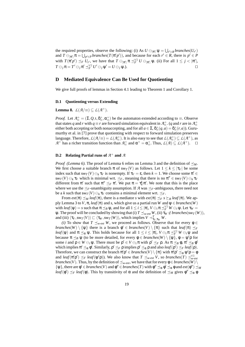the required properties, observe the following: (i) As  $U \ominus_{|\pi'|} \psi = \bigcup_{r' \in R} branches(U_{r'})$ and  $T \ominus_{|\pi'|} \pi = \bigcup_{p' \in P} branches(T(\pi'p'))$ , and because for each  $r' \in R$ , there is  $p' \in P$ with  $T(\pi'p') \preceq_F U_{r'}$ , we have that  $T \ominus_{|\pi'|} \pi \preceq_F^{\forall \exists} U \ominus_{|\pi'|} \psi$ . (ii) For all  $1 \le j < |\pi'|$ ,  $T \ominus_j \pi = T' \ominus_j \pi' \preceq^{\forall\exists}_{F} U' \ominus_j \psi' = U \ominus_j \psi.$ 

# **D Mediated Equivalence Can Be Used for Quotienting**

We give full proofs of lemmas in Section 4.1 leading to Theorem 1 and Corollary 1.

#### **D.1 Quotienting versus Extending**

**Lemma 8.**  $\mathcal{L}(\mathcal{A}/\equiv) \subseteq \mathcal{L}(\mathcal{A}^+).$ 

*Proof.* Let  $\mathcal{A}^+_{\equiv} = (\Sigma, Q, \iota, \delta^{\pm}_{\equiv}, \alpha^{\pm}_{\equiv})$  be the automaton extended according to  $\equiv$ . Observe that states *q* and *r* with  $q \equiv r$  are forward simulation equivalent in  $A^{\pm}_{\equiv}$ . (*q* and *r* are in  $A^{\pm}_{\equiv}$ either both accepting or both nonaccepting, and for all  $a \in \Sigma$ ,  $\delta^+_{\equiv}(q, a) = \delta^+_{\equiv}(r, a)$ ). Gurumurthy et al. in [7] prove that quotienting with respect to forward simulation preserves language. Therefore,  $L(\mathcal{A}) \equiv I = L(\mathcal{A}^+ \equiv I)$ . It is also easy to see that  $L(\mathcal{A}^+ \equiv I \subseteq L(\mathcal{A}^+)$ , as  $A^+$  has a richer transition function than  $A^+$  and  $\alpha^+ = \alpha^+$ . Thus,  $L(A) \subseteq L(A^+)$ . □

# **D.2** Relating Partial runs of  $A^+$  and  $A$

*Proof (Lemma 6).* The proof of Lemma 6 relies on Lemma 3 and the definition of  $\preceq_M$ . We first choose a suitable branch  $\pi$  of sw<sub>T</sub>(*V*) as follows. Let  $1 \leq k \leq |\tau_V|$  be some index such that  $sw_T(V) \ominus_k \tau_V$  is nonempty. If  $\tau_V = \varepsilon$ , then  $k = 1$ . We choose some  $\pi' \in$  $\mathsf{sw}_T(V) \ominus_k \tau_V$  which is minimal wrt.  $\preceq_F$ , meaning that there is no  $\pi'' \in \mathsf{sw}_T(V) \ominus_k \tau_V$ different from  $\pi'$  such that  $\pi'' \preceq_F \pi'$ . We put  $\pi = \tau_V^k \pi'$ . We note that this is the place where we use the  $\prec_F$ -unambiguity assumption. If *A* was  $\prec_F$ -ambiguous, there need not be a *k* such that  $sw_T(V) \ominus_k \tau_V$  contains a minimal element wrt.  $\preceq_F$ .

From  $ext(\pi) \leq_M \text{leaf}(\pi)$ , there is a mediator *s* with  $ext(\pi) \leq_F s \leq_B \text{leaf}(\pi)$ . We apply Lemma 3 to *V*,  $\pi$ , *leaf*( $\pi$ ) and *s*, which give us a partial run *W* and  $\psi \in branches(W)$ with  $\text{leaf}(\psi) = s$  such that  $\pi \leq_B \psi$ , and for all  $1 \leq i \leq |\pi|$ ,  $V \ominus_i \pi \leq_F^{\forall \exists} W \ominus_i \psi$ . Let  $\tau_W =$  $\psi$ . The proof will be concluded by showing that (i)  $T \leq_{w\text{-}ext} W$ , (ii) τ $w \notin branches(\text{sw}_T(W))$ , and (iii)  $\langle \tau_V, \text{sw}_T(V) \rangle \sqsubset \langle \tau_W, \text{sw}_T(W) \rangle$ , which implies  $V \prec^T_{\tau_V, \tau_W} W$ .

*(i)* To show that  $T \leq_{w\text{-}ext} W$ , we proceed as follows. Observe that for every  $\phi \in$ *branches*(*W*) \{ $\psi$ } there is a branch  $\phi' \in branches(V) \setminus {\pi}$  such that *leaf*( $\pi$ )  $\leq_F$ *leaf* ( $\psi$ ) and  $\pi \preceq_{\alpha} \psi$ . This holds because for all  $1 \leq i \leq |\pi|$ ,  $V \ominus_i \pi \preceq_F^{\forall \exists} W \ominus_i \psi$  and because  $\pi \preceq_B \psi$  (to be more detailed, for every  $\phi \in branches(W) \setminus \{\psi\}, \phi = \psi^i \rho$  for some *i* and  $\rho \in W \ominus_i \psi$ . There must be  $\rho' \in V \ominus_i \pi$  with  $\rho' \preceq_F \rho$ . As  $\pi \preceq_B \phi$ ,  $\pi^i \preceq_B \phi^i$ which implies  $\pi^i \preceq_\alpha \phi^i$ . Similarly,  $\rho' \preceq_F \rho$  implies  $\rho' \preceq_\alpha \rho$  and also  $\text{leaf}(\rho') \preceq_F \text{leaf}(\rho)$ . Therefore, we can construct the branch  $\pi^i \rho' \in branches(V) \setminus \{\pi\}$  with  $\pi^i \rho' \preceq_\alpha \psi^i \rho = \phi$ and *leaf*( $\pi^i \rho'$ )  $\preceq_F \text{leaf}(\psi^i \rho)$ ). We also know that  $T \preceq_{w\text{-}ext} V$ , so *branches*(*T*)  $\preceq_{w\text{-}ext}^{\vee \exists}$ *branches*(*V*). Thus, by the definition of  $\preceq_{w\text{-}ext}$ , we have that for every  $\phi \in branches(W) \setminus$  $\{\psi\}$ , there are  $\phi' \in branches(V)$  and  $\phi'' \in branches(T)$  with  $\phi'' \preceq_{\alpha} \phi' \preceq_{\alpha} \phi$  and  $ext(\phi'') \preceq_{\mathcal{M}}$ *leaf* ( $\phi'$ )  $\leq_F$  *leaf* ( $\phi$ ). This by transitivity of  $\alpha$  and the definition of  $\leq_M$  gives  $\phi'' \leq_\alpha \phi$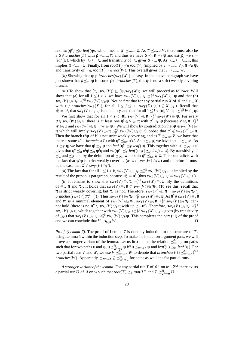and  $ext(\phi'') \preceq_M leaf(\phi)$ , which means  $\phi'' \preceq_{w\textrm{-}ext} \phi$ . As  $T \preceq_{w\textrm{-}ext} V$ , there must also be  $a \rho \in *branches*(T)$  with  $\rho \leq_{w-ext} \pi$ , and thus we have  $\rho \leq_{\alpha} \pi \leq_{B} \psi$  and  $ext(\rho) \leq_{F} s =$ *leaf*( $\psi$ ), which by  $\leq_B \subseteq \leq_\alpha$  and transitivity of  $\leq_\alpha$  gives  $\rho \leq_{ext} \psi$ . As  $\leq_{ext} \subseteq \leq_{\text{w-ext}}$ , this implies  $\rho \leq_{w\text{-}ext} \psi$ . Finally, from  $root(T) \leq_B root(V)$  (implied by  $T \leq_{w\text{-}ext} V$ ),  $\pi \leq_B \psi$ , and transitivity of  $\preceq_B$ ,  $root(T) \preceq_B root(W)$ . This overall gives that  $T \preceq_{w-\text{ext}} W$ .

*(ii)* Showing that  $\psi \notin branches(\mathsf{sw}_{T}(W))$  is easy. In the above paragraph we have just shown that  $\rho \leq_{ext} \psi$  for some  $\rho \in branches(T)$ , this  $\psi$  is not a strict weakly covering branch.

*(iii)* To show that  $\langle \tau_V, s w_T(V) \rangle \subseteq \langle \psi, s w_T(W) \rangle$ , we will proceed as follows: Will show that (a) for all  $1 \leq i < k$ , we have  $\sup_T(V) \oplus_i \tau_V \preceq_F^{\forall \exists} \sup_T(W) \oplus_i \psi$  and that (b)  $\sup T(V) \ominus_k \tau_V \prec_F^{\forall \exists}$  sw $\overline{T(W)} \ominus_k \psi$ . Notice first that for any partial run *X* of *A* and  $\tau \in X$ with  $\tau \notin branches(\mathsf{sw}_T(X))$ , for all  $1 \leq j \leq |\tau|$ ,  $\mathsf{sw}_T(X) \ominus_j \tau \subseteq X \ominus_j \tau$ . Recall that  $τ_V^k = π^k$ , that sw $_T(V) ⊕_k τ_V$  is nonempty, and that for all  $1 ≤ i < |π|$ ,  $V ⊕_i π ≤^{\forall\exists}_F W ⊕_i ψ.$ 

We first show that for all  $1 \leq i < |\pi|$ ,  $\sup_T(V) \ominus_i \pi \preceq_F^{\forall \exists} \sup_T(W) \ominus_i \psi$ . For every  $\phi \in sw_T(W) \ominus_i \psi$ , there is at least one  $\phi' \in V \ominus_i \pi$  with  $\phi' \preceq_F \phi$  (because  $V \ominus_i \pi \preceq_F^{\forall \exists}$  $W \ominus_i \psi$  and  $sw_T(W) \ominus_i \psi \subseteq W \ominus_i \psi$ ). We will show by contradiction that  $\phi' \in sw_T(V) \ominus_i$  $\pi$  which will imply  $sw_T(V) \ominus_i \pi \preceq_F^{\forall \exists} sw_T(W) \ominus_i \psi$ . Suppose that  $\phi' \not\in sw_T(V) \ominus_i \pi$ . Then the branch  $\pi^i \phi'$  of *V* is not strict weakly covering, and as  $T \preceq_{w\text{-}ext} V$ , we have that there is some  $\phi'' \in branches(T)$  with  $\phi'' \preceq_{ext} \pi^i \phi'.$  As  $\pi \preceq_B \psi$ , we have that  $\pi^i \preceq_\alpha \psi^i$ . As  $\phi' \preceq_F \phi$ , we have that  $\phi' \preceq_\alpha \phi$  and  $leaf(\phi') \preceq_F leaf(\phi)$ . This together with  $\phi'' \preceq_{ext} \pi^i \phi'$ gives that  $\phi'' \preceq_\alpha \pi^i \phi' \preceq_\alpha \psi^i \phi$  and  $ext(\phi'') \preceq_F \textit{leaf}(\pi^i \phi') \preceq_F \textit{leaf}(\psi^i \phi)$ . By transitivity of  $\preceq_{\alpha}$  and  $\preceq_F$  and by the definition of  $\preceq_{ext}$ , we obtain  $\phi'' \preceq_{ext} \psi^i \phi$ . This contradicts with the fact that  $\psi^i \phi$  is strict weakly covering (as  $\phi \in sw_T(W) \ominus_i \psi$ ) and therefore it must be the case that  $\phi' \in sw_T(V) \ominus_i \pi$ .

*(a)* The fact that for all  $1 \le i < k$ ,  $sw_T(V) \ominus_i \tau_V \preceq_F^{\forall \exists} sw_T(W) \ominus_i \psi$  is implied by the result of the previous paragraph, because  $\tau_V^k = \pi^k$  (thus sw $_T(V) \ominus_i \tau_V = \text{sw}_T(V) \ominus_i \pi$ ).

*(b)* It remains to show that  $sw_T(V) \ominus_k \tau_V \prec_F^{\forall \exists} sw_T(W) \ominus_k \psi$ . By the definitions of  $\ominus_k$ ,  $\pi$  and  $\tau_V$ , it holds that  $sw_T(V) \ominus_k \pi \subset sw_T(V) \ominus_k \tau_V$ . (To see this, recall that  $\pi$  is strict weakly covering, but  $\tau_V$  is not. Therefore,  $sw_T(V) \ominus_k \pi = sw_T(V) \ominus_k \tau_V \setminus$  $branches({sw}_T(V)(\pi^{k+1})))$ . Thus,  $sw_T(V) \ominus_k \tau_V \preceq^{\forall \exists}_F sw_T(W) \ominus_k \psi$ . As  $\pi' \not\in sw_T(V) \ominus_k \pi$ *F Switches*(sw*T*(*V*)(*A*  $\rightarrow$  *J*)). Thus, sw*T*(*V*)⊖*k W*  $\sup F$  sw*T*(*W*)⊖*k*  $\psi$ . As *R*  $\leq$  sw*T*(*V*)⊖*k T* and  $\pi'$  is a minimal element of sw*T*(*V*)⊖*k*  $\tau_V$ , sw*T*(*V*)⊖*k*  $\pi \leq_T^{\pi}$  sw*T*(*V*)⊖ not hold (there is no  $\pi'' \in sw_T(V) \ominus_k \pi$  with  $\pi'' \preceq_F \pi'$ ). Therefore,  $sw_T(V) \ominus_k \tau_V \prec_F^{\forall \exists}$ <br> $sw_T(V) \ominus_k \pi$ , which together with  $sw_T(V) \ominus_k \pi \preceq_F^{\forall \exists} sw_T(W) \ominus_k \psi$  gives (by transitivity of  $\preceq_F$ ) that sw $_T(V) \ominus_k \tau_V \prec_F^{\forall \exists}$  sw $_T(W) \ominus_k \psi$ . This completes the part (iii) of the proof and we can conclude that  $V \prec_{\tau_V,\psi}^T W$ . □

*Proof (Lemma 7).* The proof of Lemma 7 is done by induction to the structure of *T*, using Lemma 5 within the induction step. To make the induction argument pass, we will prove a stronger variant of the lemma. Let us first define the relation  $\preceq^M_{\alpha^+ \Rightarrow \alpha}$  on paths such that for two paths  $\pi$  and  $\psi$ ,  $\pi \preceq^M_{\alpha^+ \Rightarrow \alpha} \psi$  iff  $\pi \preceq_{\alpha^+ \Rightarrow \alpha} \psi$  and  $\text{leaf}(\pi) \preceq_M \text{leaf}(\psi)$ . For two partial runs *V* and *W*, we use  $V \preceq_{\alpha^+ \Rightarrow \alpha}^M W$  to denote that  $branches(V) \left(\preceq_{\alpha^+ \Rightarrow \alpha}^M V \right)$ *branches*(*W*). Apparently,  $\preceq_{\alpha^+\Rightarrow\alpha} \subseteq \preceq^M_{\alpha^+\Rightarrow\alpha}$  for paths as well ans for partial runs.

*A stronger variant of the lemma:* For any partial run *T* of  $\mathcal{A}^+$  on  $w\in \Sigma^{\omega}$ , there exists a partial run *U* of *A* on *w* such that  $root(T) \leq_B root(U)$  and  $T \leq_{\alpha^+ \Rightarrow \alpha}^M U$ .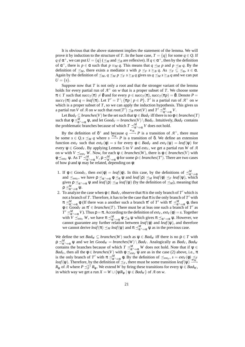It is obvious that the above statement implies the statement of the lemma. We will prove it by induction to the structure of *T*. In the base case,  $T = \{q\}$  for some  $q \in Q$ . If  $q \not\in \alpha^+$ , we can put  $U = \{q\} \mid \leq_M$  and  $\preceq_B$  are reflexive). If  $q \in \alpha^+$ , then by the definition of  $\alpha^+$ , there is  $p \in \alpha$  such that  $p \equiv_M q$ . This means that  $q \preceq_M p$  and  $p \preceq_M q$ . By the definition of  $\leq_M$ , there exists a mediator *s* with  $p \leq_F s \geq_B q$ . As  $\leq_F \subseteq \leq_\alpha$ ,  $s \in \alpha$ . Again by the definition of  $\preceq_M$ ,  $q \preceq_M p \preceq_F s \succeq_B q$  gives us  $q \preceq_M s \succeq_B q$  and we can put  $U = \{s\}.$ 

Suppose now that *T* is not only a root and that the stronger variant of the lemma holds for every partial run of  $A^+$  on *w* that is a proper subset of *T*. We choose some  $\pi \in T$  such that  $succ_T(\pi) \neq \emptyset$  and for every  $p \in succ_T(\pi)$ ,  $succ_T(\pi p) = \emptyset$ . Denote  $P =$ *succ<sub>T</sub>*( $\pi$ ) and  $q = \text{leaf}(\pi)$ . Let  $T' = T \setminus {\{\pi_p | p \in P\}}$ . *T*' is a partial run of  $A^+$  on *w* which is a proper subset of  $T$ , so we can apply the induction hypothesis. This gives us a partial run *V* of *A* on *w* such that  $root(T') \leq_B root(V)$  and  $T' \leq^M_{\alpha^+ \Rightarrow \alpha} V$ .

Let *Bad*<sup>*V*</sup>  $\subseteq$  *branches*(*V*) be the set such that  $\psi \in$  *BadV* iff there is no  $\phi \in$  *branches*(*T*) such that  $\phi \preceq^M_{\alpha^+ \Rightarrow \alpha} \psi$ , and let  $Good_V = branches(V) \setminus Bad_V$ . Intuitively,  $Bad_V$  contains the problematic branches because of which  $T \preceq^M_{\alpha^+ \Rightarrow \alpha} V$  does not hold.

By the definition of  $\delta^+$  and because  $q \xrightarrow{w_{|\pi|}} P$  is a transition of  $\mathcal{A}^+$ , there must be some  $s \in Q$ ,  $s \leq_M q$  where  $s \xrightarrow{w_{|\pi|}} P$  is a transition of  $\delta$ . We define an extension function *ext*<sub>*V*</sub> such that  $ext_V(\phi) = s$  for every  $\phi \in \text{Bad}_V$  and  $ext_V(\psi) = \text{leaf}(\psi)$  for every  $\psi \in Good_V$ . By applying Lemma 5 to *V* and *ext<sub>V</sub>*, we get a partial run *W* of *A* on *w* with  $V \leq_{\text{extry}} W$ . Now, for each  $\psi \in branches(W)$ , there is  $\phi \in branches(V)$  with  $\phi \preceq_{\text{ext}_V} \psi$ . As  $T' \preceq^M_{\alpha^+ \Rightarrow \alpha} V$ ,  $\rho \preceq^M_{\alpha^+ \Rightarrow \alpha} \phi$  for some  $\rho \in branches(T')$ . There are two cases of how  $ρ$  and  $ψ$  may be related, depending on  $φ$ :

- 1. If  $\phi \in Good_V$ , then  $ext(\phi) = leaf(\phi)$ . In this case, by the definitions of  $\preceq^M_{\alpha^+ \Rightarrow \alpha}$ and  $\preceq_{\text{ext}_V}$ , we have  $\rho \preceq_{\alpha^+ \Rightarrow \alpha} \phi \preceq_{\alpha} \psi$  and  $\text{leaf}(\rho) \preceq_M \text{leaf}(\phi) \preceq_F \text{leaf}(\psi)$ , which gives  $\rho \preceq_{\alpha^+ \Rightarrow \alpha} \psi$  and *leaf*( $\rho$ )  $\preceq_M$  *leaf*( $\psi$ ) (by the definition of  $\preceq_M$ ), meaning that ρ *<sup>M</sup>* α+⇒α ψ.
- 2. To analyze the case when  $\phi \in Bad_V$ , observe that  $\pi$  is the only branch of  $T'$  which is not a branch of *T*. Therefore, it has to be the case that  $\pi$  is the only branch of  $T'$  with  $\pi \preceq^M_{\alpha^+ \Rightarrow \alpha} \phi$  (If there was a another such a branch  $\pi'$  of  $T'$  with  $\pi' \preceq^M_{\alpha^+ \Rightarrow \alpha} \phi$ , then  $\phi \in \overline{Good}_V$  as  $\pi' \in branches(T)$ . There must be at leas one such a branch of T' as  $T' \preceq^M_{\alpha^+ \Rightarrow \alpha} V$ ). Thus  $\rho = \pi$ . According to the definition of *extv*, *extv* ( $\phi$ ) = *s*. Together with  $V \leq_{\text{ext}_V} W$ , we have  $\pi \leq^M_{\alpha+\Rightarrow \alpha} \phi \leq_\alpha \psi$  which gives  $\pi \leq_{\alpha+\Rightarrow \alpha} \psi$ . However, we cannot guarantee any further relation between *leaf*(φ) and *leaf*(ψ), and therefore we cannot derive  $leaf(\pi) \leq_M leaf(\psi)$  and  $\pi \leq^M_{\alpha^+ \Rightarrow \alpha} \psi$  as in the previous case.

We define the set  $Bad_W \subseteq branches(W)$  such as  $\psi \in Bad_W$  iff there is no  $\rho \in T$  with  $\rho \preceq_{\alpha+\Rightarrow\alpha}^{M} \psi$  and we let  $Good_W = branches(W) \setminus Bad_V$ . Analogically as  $Bad_V$ ,  $Bad_W$ contains the branches because of which  $T \preceq^M_{\alpha^+ \Rightarrow \alpha} W$  does not hold. Note that if  $\psi \in$ *Bad<sub>V</sub>*, then all the  $\phi \in branches(V)$  with  $\phi \preceq_{ext_V} \psi$  are as in the case (2) above, i.e.,  $\pi$ is the only branch of *T*<sup>'</sup> with  $\pi \leq_{\alpha^+ \Rightarrow \alpha}^M \phi$ . By the definition of  $\leq_{\text{ext}_V}$ ,  $s = \text{ext}_V(\phi) \leq_{\text{ext}_V}$ *leaf*( $\psi$ ). Therefore, by the definition of  $\preceq_F$ , there must be some transition *leaf*( $\psi$ )  $\stackrel{w}{\longrightarrow}$  $R_{\psi}$  of *A* where  $P \leq_F^{\forall \exists} R_{\psi}$ . We extend *W* by firing these transitions for every  $\psi \in Bad_W$ , in which way we get a run  $X = W \cup \{ \psi R_w \mid \psi \in \text{Bad}_W \}$  of  $\mathcal A$  on  $w$ .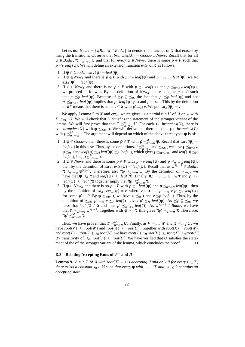Let us use  $New_X = \{wR_w | w \in Bad_W\}$  to denote the branches of X that erased by firing the transitions. Observe that *branches*(*X*) =  $Good_W \cup New_X$ . Recall that for all  $\Psi \in Bad_W$ ,  $\pi \preceq_{\alpha^+ \Rightarrow \alpha} \Psi$  and that for every  $\Psi \in New_X$ , there is some  $p \in P$  such that  $p \leq_F \text{leaf}(\psi)$ . We will define an extension function *ext<sub>X</sub>* of *X* as follows:

- 1. If  $\psi \in Good_W$ ,  $ext_X(\psi) = leaf(\psi)$ .
- 2. If  $\psi \in New_X$  and there is  $p \in P$  with  $p \leq_F \text{leaf}(\psi)$  and  $p \leq_{\alpha^+ \Rightarrow \alpha} \text{leaf}(\psi)$ , we let  $ext_X(\Psi) = leaf(\Psi).$
- 3. If  $\psi \in New_X$  and there is no  $p \in P$  with  $p \preceq_F \text{leaf}(\psi)$  and  $p \preceq_{\alpha^+ \Rightarrow \alpha} \text{leaf}(\psi)$ , we proceed as follwos. By the definition of  $New_X$ , there is some  $p' \in P$  such that  $p' \preceq_F \text{leaf}(\psi)$ . Because of  $\preceq_F \subseteq \preceq_\alpha$ , the fact that  $p' \preceq_F \text{leaf}(\psi)$  and not  $p' \preceq_{\alpha^+ \Rightarrow \alpha} \text{leaf}(\psi)$  implies that  $p'$ ,  $\text{leaf}(\psi) \not\in \alpha$  and  $p' \in \alpha^+$ . This by the definition of  $\alpha^+$  means that there is some  $v \in \alpha$  with  $p' \equiv_M v$ . We put  $ext_X(\psi) = v$ .

We apply Lemma 5 to *X* and  $ext{ext{x}}$ , which gives us a partial run *U* of *A* on *w* with  $X \preceq_{\text{ext}_X} U$ . We will check that *U* satisfies the statement of the stronger variant of the lemma. We will first prove that that  $T \preceq^M_{\alpha^+ \Rightarrow \alpha} U$ . For each  $\tau \in branches(U)$ , there is  $\psi \in branches(X)$  with  $\psi \leq_{\text{ext}_X} \tau$ . We will derive that there is some  $\rho \in branches(T)$ with  $\rho \preceq^M_{\alpha^+ \Rightarrow \alpha} \tau$ . The argument will depend on which of the above three types  $\psi$  is of:

- 1. If  $\psi \in Good_W$ , then there is some  $\rho \in T$  with  $\rho \preceq^M_{\alpha^+ \Rightarrow \alpha} \psi$ . Recall that  $ext_X(\psi) =$ *leaf* ( $\psi$ ) in this case. Thus, by the definitions of  $\preceq^M_{\alpha^+ \Rightarrow \alpha}$  and  $\preceq_{ext_X}$ , we have  $\rho \preceq_{\alpha^+ \Rightarrow \alpha}$  $\Psi \preceq_{\alpha} \tau$  and *leaf*( $\rho$ )  $\preceq_M$  *leaf*( $\Psi$ )  $\preceq_F$  *leaf*( $\tau$ ), which gives  $\rho \preceq_{\alpha^+ \Rightarrow \alpha} \tau$  and *leaf*( $\rho$ )  $\preceq_M$ *leaf*(τ), i.e.,  $\rho \preceq^M_{\alpha^+ \Rightarrow \alpha}$  τ.
- 2. If  $\psi \in New_X$  and there is some  $p \in P$  with  $p \leq_F \text{leaf}(\psi)$  and  $p \leq_{\alpha^+ \Rightarrow \alpha} \text{leaf}(\psi)$ , then by the definition of  $ext_X$ ,  $ext_X(\psi) = leaf(\psi)$ . Recall that as  $\psi^{|\psi|-1} \in Bad_W$ ,  $\pi \preceq_{\alpha^+ \Rightarrow \alpha} \psi^{|\psi|-1}$ . Therefore, also  $\pi p \preceq_{\alpha^+ \Rightarrow \alpha} \psi$ . By the definition of  $\preceq_{\text{ext}_X}$ , we have that  $\Psi \preceq_{\alpha} \tau$  and *leaf*( $\Psi$ )  $\preceq_F \text{leaf}(\tau)$ . Finally,  $\pi p \preceq_{\alpha^+ \Rightarrow \alpha} \Psi \preceq_{\alpha} \tau$  and  $p \preceq_F$  $\text{leaf}(\psi) \leq_F \text{leaf}(\tau)$  together imply that  $\pi p \leq^M_{\alpha^+ \Rightarrow \alpha} \tau$ .
- 3. If  $\psi \in New_X$  and there is no  $p \in P$  with  $p \preceq_F \text{leaf}(\psi)$  and  $p \preceq_{\alpha^+ \Rightarrow \alpha} \text{leaf}(\psi)$ , then by the definition of  $ext_X$ ,  $ext_X(\psi) = v$ , where  $v \in \alpha$  and  $p' \equiv_M v, p' \preceq_F \text{leaf}(\psi)$ for some  $p' \in P$ . By  $\psi \preceq_{ext_X} \tau$ , we have  $\psi \preceq_{\alpha} \tau$  and  $\nu \preceq_F \text{leaf}(\tau)$ . Thus, by the  $\forall$   $\in$  *P*. By  $\psi \preceq_{\text{ext}_X} \tau$ , we have  $\psi \preceq_{\alpha} \tau$  and  $\nu \preceq_F \text{leaf}(\tau)$ . Thus, by the definition of  $\preceq_M$ ,  $p' \equiv_M v \preceq_F \text{leaf}(\tau)$  gives  $p' \preceq_M \text{leaf}(\psi)$ . As  $\preceq_F \subseteq \preceq_\alpha$ , we have that  $leaf(\tau) \in \alpha$  and thus  $p' \preceq_{\alpha^+ \Rightarrow \alpha} leaf(\tau)$ . As  $\psi^{|\psi|-1} \in Bad_W$ , we have that  $\pi \preceq_{\alpha^+ \Rightarrow \alpha} \psi^{|\psi|-1}$ . Together with  $\psi \preceq_{\alpha} \tau$ , this gives  $\pi p' \preceq_{\alpha^+ \Rightarrow \alpha} \tau$ . Therefore,  $πp' \preceq^M_{α^+ \Rightarrow α}$  τ.

Thus, we have proven that  $T \preceq^M_{\alpha^+ \Rightarrow \alpha} U$ . Finally, as  $V \preceq_{\text{ext}_V} W$  and  $X \preceq_{\text{ext}_X} U$ , we have  $root(V) \leq_B root(W)$  and  $root(X) \leq_B root(U)$ . Together with  $root(X) = root(W)$ and  $root(T) = root(T') \leq_B root(V)$ , we have  $root(T) \leq_B root(V) \leq_B root(X) \leq_B root(U)$ . By transitivity of  $\preceq_B$ ,  $root(T) \preceq_B root(U)$ . We have verified that *U* satisfies the statement of the of the stronger variant of the lemma, which concludes the proof. □

# **D.3 Relating Accepting Runs of** *A* <sup>+</sup> **and** *A*

**Lemma 9.** *A run T of A with root* $(T) = 1$  *is accepting if and only if for every*  $\pi \in T$ , *there exists a constant*  $k_{\pi} \in \mathbb{N}$  *such that every*  $\psi$  *with*  $\pi \psi \in T$  *and*  $|\psi| > k$  *contains an accepting state.*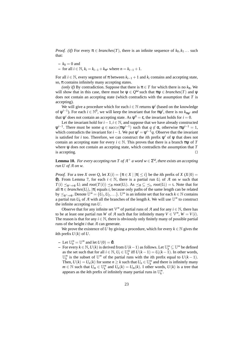*Proof.* (*if*) For every  $\pi \in *branches*(*T*)$ , there is an infinite sequence of  $k_0, k_1, \ldots$  such that:

- $k_0 = 0$  and
- $-$  for all *i* ∈ N, *k<sub>i</sub>* = *k<sub>i−1</sub>* + *k*<sub>π<sup>n</sup></sub> where *n* = *k<sub>i−1</sub>* + 1.

For all  $i \in \mathbb{N}$ , every segment of  $\pi$  between  $k_{i-1}+1$  and  $k_i$  contains and accepting state, so,  $\pi$  contains infinitely many accepting states.

*(only if)* By contradiction. Suppose that there is  $\pi \in T$  for which there is no  $k_{\pi}$ . We will show that in this case, there must be  $\psi \in Q^{\omega}$  such that  $\pi \psi \in branches(T)$  and  $\psi$ does not contain an accepting state (which contradicts with the assumption that *T* is accepting).

We will give a procedure which for each  $i \in \mathbb{N}$  returns  $\psi^i$  (based on the knowledge of  $\psi^{i-1}$ ). For each  $i \in \mathbb{N}^0$ , we will keep the invariant that for  $\pi \psi^i$ , there is no  $k_{\pi \psi^i}$  and that  $\psi^i$  does not contain an accepting state. As  $\psi^0 = \varepsilon$ , the invariant holds for  $i = 0$ .

Let the invariant hold for  $i-1$ ,  $i \in \mathbb{N}$ , and suppose that we have already constructed  $\Psi^{i-1}$ . There must be some  $q \in succ_T(\pi \Psi^{i-1})$  such that  $q \notin \alpha$ , otherwise  $\pi \Psi^{i-1} = 1$ , which contradicts the invariant for *i* – 1. We put  $\psi^i = \psi^{i-1}q$ . Observe that the invariant is satisfied for *i* too. Therefore, we can construct the *i*th prefix  $\psi^i$  of  $\psi$  that does not contain an accepting state for every  $i \in \mathbb{N}$ . This proves that there is a branch  $\pi \psi$  of *T* where ψ does not contain an accepting state, which contradicts the assumption that *T* is accepting. ⊓⊔

**Lemma 10.** *For every accepting run T of*  $A^+$  *a word w*  $\in \Sigma^{\omega}$ *, there exists an accepting run U of A on w.*

*Proof.* For a tree *X* over *Q*, let  $X(i) = {\pi \in X \mid |\pi| \le i}$  be the *i*th prefix of  $X(X(0)) =$ 0). From Lemma 7, for each  $i \in \mathbb{N}$ , there is a partial run  $U_i$  of  $\mathcal A$  on  $w$  such that  $T(i) \preceq_{\alpha^+ \Rightarrow \alpha} U_i$  and  $root(T(i)) \preceq_B root(U_i)$ . As  $\preceq_B \subseteq \preceq_i$ ,  $root(U_i) = i$ . Note that for all  $\pi \in branches(U_i)$ ,  $|\pi|$  equals *i*, because only paths of the same length can be related by  $\preceq_{\alpha^+\Rightarrow\alpha}$ . Denote  $\mathbb{U}^{\infty} = \{U_1, U_2, \dots\}$ .  $\mathbb{U}^{\infty}$  is an infinite set that for each  $k \in \mathbb{N}$  contains a partial run  $U_k$  of  $\mathcal A$  with all the branches of the length  $k$ . We will use  $\mathbb U^{\infty}$  to construct the infinite accepting run *U*.

Observe that for any infinite set  $\mathbb{V}^{\infty}$  of partial runs of  $\mathcal A$  and for any  $i \in \mathbb{N}$ , there has to be at least one partial run *W* of *A* such that for infinitely many  $V \in \mathbb{V}^{\infty}$ ,  $W = V(i)$ . The reason is that for any  $i \in \mathbb{N}$ , there is obviously only finitely many of possible partial runs of the height *i* that *A* can generate.

We prove the existence of *U* by giving a procedure, which for every  $k \in \mathbb{N}$  gives the *k*th prefix  $U(k)$  of  $U$ .

- $-$  Let  $\mathbb{U}_0^{\infty} = \mathbb{U}^{\infty}$  and let  $U(0) = \emptyset$ .
- **–** For every  $k \in \mathbb{N}$ ,  $U(k)$  is derived from  $U(k-1)$  as follows. Let  $\mathbb{U}_k^{\infty} \subseteq \mathbb{U}^{\infty}$  be defined as the set such that for all  $i \in \mathbb{N}$ ,  $U_i \in \mathbb{U}_k^{\infty}$  iff  $U(k-1) = U_i(k-1)$ . In other words,  $\mathbb{U}_k^{\infty}$  is the subset of  $\mathbb{U}^{\infty}$  of the partial runs with the *i*th prefix equal to *U*(*k* − 1). Then,  $U(k) = U_n(k)$  for some  $n \geq k$  such that  $U_n \in \mathbb{U}_k^{\infty}$  and there is infinitely many *m* ∈ N such that  $U_m$  ∈  $\mathbb{U}_k^{\infty}$  and  $U_n(k) = U_m(k)$ . I other words,  $U(k)$  is a tree that appears as the *k*th prefix of infinitely many partial runs in  $\mathbb{U}_k^{\infty}$ .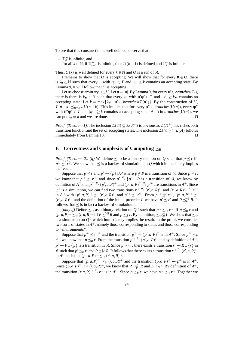To see that this construction is well defined, observe that:

 $\mathbb{U}_0^{\infty}$  is infinite, and

**−** for all  $k \in \mathbb{N}$ , if  $\mathbb{U}_{k-1}^{\infty}$  is infinite, then  $U(k-1)$  is defined and  $\mathbb{U}_{k}^{\infty}$  is infinite.

Thus,  $U(k)$  is well defined for every  $k \in \mathbb{N}$  and U is a run of A.

I remains to show that *U* is accepting. We will show that for every  $\pi \in U$ , there is  $k_{\pi} \in \mathbb{N}$  such that every  $\psi$  with  $\pi \psi \in T$  and  $|\psi| \geq k$  contains an accepting state. By Lemma 9, it will follow that *U* is accepting.

Let us choose arbitrary  $\pi \in U$ . Let  $n = |\pi|$ . By Lemma 9, for every  $\pi' \in branches(T_n)$ , there is there is  $k_{\pi'} \in \mathbb{N}$  such that every  $\psi'$  with  $\pi' \psi' \in T$  and  $|\psi'| \geq k_{\pi'}$  contains an accepting state. Let  $k = \max\{k_{\pi'} \mid \pi' \in branches(T(n))\}$ . By the construction of *U*,  $T(n+k) \preceq_{\alpha^+ \Rightarrow \alpha} U(n+k)$ . This implies that for every  $\pi'' \in branches(U(n))$ , every  $\psi''$ with  $\pi''\psi'' \in T$  and  $|\psi''| \geq k$  contains an accepting state. As  $\pi$  in *branches*(*U*(*n*)), we can put  $k_{\pi} = k$  and we are done.

*Proof (Theorem 1).* The inclusion  $\mathcal{L}(\mathcal{A}) \subseteq \mathcal{L}(\mathcal{A}^+)$  is obvious as  $\mathcal{L}(\mathcal{A}^+)$  has riches both transition function and the set of accepting states. The inclusion  $L(A^+) \subseteq L(A)$  follows immediately from Lemma 10. ⊓⊔

# **E** Correctness and Complexity of Computing  $\prec_B$

*Proof (Theorem 2). (if)* We define  $\preceq$  to be a binary relation on *Q* such that  $p \preceq r$  iff  $p^{\odot} \preceq^{I} r^{\odot}$ . We show that  $\preceq$  is a backward simulation on *Q* which immediately implies the result.

Suppose that  $p \le r$  and  $p' \stackrel{a}{\rightarrow} \{p\} \cup P$  where  $p \notin P$  is a transition of *A*. Since  $p \le r$ , we know that  $p^{\odot} \preceq^l r^{\odot}$ ; and since  $p' \stackrel{a}{\rightarrow} \{p\} \cup P$  is a transition of *A*, we know by definition of  $A^{\odot}$  that  $p^{\odot} \stackrel{a}{\rightarrow} (p',a,P)^{\odot}$  and  $(p',a,P)^{\odot} \stackrel{a}{\rightarrow} p'^{\odot}$  are transitions in  $A^{\odot}$ . Since  $\leq^l$  is a simulation, we can find two transitions  $r^{\odot} \stackrel{a}{\rightarrow} (r',a,R)^{\odot}$  and  $(r',a,R)^{\odot} \stackrel{a}{\rightarrow} r'^{\odot}$ in  $A^{\odot}$  with  $(p', a, P)^{\odot} \preceq_L (r', a, R)^{\odot}$  and  $p'^{\odot} \preceq_L r'^{\odot}$ . From  $p'^{\odot} \preceq^I r'^{\odot}$ ,  $(p', a, P)^{\odot} \preceq^I$  $(r', a, R)^\odot$ , and the definition of the initial preorder *I*, we have  $p' \le r'$  and  $P \le \nsubseteq F$  *R*. It follows that  $\preceq$  is in fact a backward simulation.

*(only if)* Define  $\preceq_{\odot}$  as a binary relation on  $Q^{\odot}$  such that  $p^{\odot} \preceq_{\odot} r^{\odot}$  iff  $p \preceq_{B} r$  and  $(p,a,P)$ <sup>⊙</sup>  $\preceq_{\odot} (r,a,R)$ <sup>⊙</sup> iff  $P \preceq_F^{\forall \exists} R$  and  $p \preceq_B r$ . By definition,  $\preceq_{\odot} \subseteq I$ . We show that  $\preceq_{\odot}$ is a simulation on  $Q^{\odot}$  which immediately implies the result. In the proof, we consider two sorts of states in *A* <sup>⊙</sup>; namely those corresponding to states and those corresponding to "environments".

Suppose that  $p^{\odot} \preceq_{\odot} r^{\odot}$  and the transition  $p^{\odot} \stackrel{a}{\rightarrow} (p', a, P)^{\odot}$  is in  $A^{\odot}$ . Since  $p^{\odot} \preceq_{\odot}$ *r*<sup>⊙</sup>, we know that  $p \leq_B r$ . From the transition  $p^{\odot} \stackrel{a}{\rightarrow} (p', a, P)^{\odot}$  and by definition of  $A^{\odot}$ ,  $p' \stackrel{a}{\rightarrow} P \cup \{p\}$  is a transition in *A*. Since  $p \leq_B r$ , there exists a transition  $r' \stackrel{a}{\rightarrow} R \cup \{r\}$  in *A* such that  $p' \leq_B r'$  and  $P \leq_F^{\forall \exists} R$ . It follows that there exists a transition  $r^{\odot} \xrightarrow{a} (r', a, R)^{\odot}$ in  $A^{\odot}$  such that  $(p', a, P)^{\odot} \preceq_{\odot} (r', a, R)^{\odot}$ .

Suppose that  $(p, a, P)$ <sup>©</sup>  $\preceq_{\odot} (r, a, R)$ <sup>©</sup> and the transition  $(p, a, P)$ <sup>⊙</sup>  $\stackrel{a}{\rightarrow} p$ <sup>⊙</sup> is in  $A$ <sup>⊙</sup>. Since  $(p, a, P)$ <sup>⊙</sup>  $\preceq_{\odot} (r, a, R)$ <sup>⊙</sup>, we know that  $P \preceq_F^{\forall \exists} R$  and  $p \preceq_B r$ . By definition of  $A^{\odot}$ , the transition  $(r, a, R)$ <sup>⊙</sup>  $\stackrel{a}{\rightarrow} r$ <sup>⊙</sup> is in *A*<sup>⊙</sup>. Since  $p \leq_B r$ , we have  $p$ <sup>⊙</sup>  $\preceq_{\odot} r$ <sup>⊙</sup>. Together we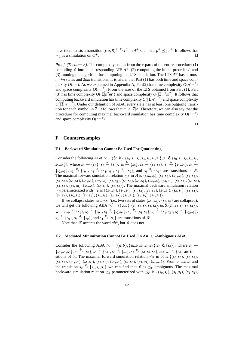have there exists a transition  $(r, a, R)$ <sup> $\odot$ </sup>  $\stackrel{a}{\rightarrow} r$ <sup> $\odot$ </sup> in  $A$ <sup> $\odot$ </sup> such that  $p$ <sup> $\odot$ </sup>  $\preceq_{\odot} r$ <sup> $\odot$ </sup>. It follows that  $\preceq_{\odot}$  is a simulation on  $Q^{\odot}$ . <sup>⊙</sup>. ⊓⊔

*Proof (Theorem 3).* The complexity comes from three parts of the entire procedure: (1) compiling  $\mathcal A$  into its corresponding LTS  $A^\odot$ , (2) computing the initial preorder *I*, and (3) running the algorithm for computing the LTS simulation. The LTS  $A^{\odot}$  has at most *nm*+*n* states and 2*nm* transitions. It is trivial that Part (1) has both time and space complexity  $O(nm)$ . As we explained in Appendix A, Part(2) has time complexity  $O(n^2m^2)$ and space complexity  $O(nm^2)$ . From the size of the LTS obtained from Part (1), Part (3) has time complexity  $O(|\Sigma|n^2m^2)$  and space complexity  $O(|\Sigma|n^2m^2)$ . It follows that computing backward simulation has time complexity  $O(|\Sigma|n^2m^2)$  and space complexity  $O(|\Sigma|n^2m^2)$ . Under our definition of ABA, every state has at least one outgoing transition for each symbol in  $\Sigma$ . It follows that  $m \geq |\Sigma|n$ . Therefore, we can also say that the procedure for computing maximal backward simulation has time complexity  $O(nm^3)$ and space complexity  $O(nm^3)$ .

⊓⊔

#### **F Counterexamples**

#### **F.1 Backward Simulation Cannot Be Used For Quotienting**

Consider the following ABA  $A = (\{a,b\}, \{s_0, s_1, s_2, s_3, s_4, s_5, s_6\}, s_0, \delta, \{s_0, s_1, s_2, s_3, s_4, s_5, s_6\})$  $s_5, s_6$ }), where  $s_0 \xrightarrow{a} \{s_4\}$ ,  $s_0 \xrightarrow{a} \{s_1\}$ ,  $s_0 \xrightarrow{b} \{s_0\}$ ,  $s_1 \xrightarrow{b} \{s_2, s_5\}$ ,  $s_1 \xrightarrow{b} \{s_1, s_3\}$ ,  $s_2 \xrightarrow{b}$  $\{s_2, s_3\}$ ,  $s_3 \xrightarrow{a} \{s_0\}$ ,  $s_4 \xrightarrow{b} \{s_4, s_6\}$ ,  $s_5 \xrightarrow{b} \{s_0\}$ , and  $s_6 \xrightarrow{a} \{s_0\}$  are transitions of *A*. The maximal forward simulation relation  $\preceq_F$  in *A* is {( $s_0$ , $s_0$ ), ( $s_1$ , $s_0$ ), ( $s_1$ , $s_1$ ), ( $s_1$ , $s_5$ ),  $(s_2,s_0), (s_2,s_1), (s_2,s_2), (s_2,s_4), (s_2,s_5), (s_3,s_3), (s_3,s_6), (s_4,s_0), (s_4,s_1), (s_4,s_2), (s_4,s_4),$  $(s_4, s_5)$ ,  $(s_5, s_0)$ ,  $(s_5, s_5)$ ,  $(s_6, s_3)$ ,  $(s_6, s_6)$ . The maximal backward simulation relation  $\preceq_B$  parameterized with  $\preceq_F$  is  $\{(s_0, s_0), (s_1, s_1), (s_1, s_4), (s_2, s_2), (s_3, s_3), (s_4, s_1), (s_4, s_4)\}$ (*s*5,*s*2), (*s*5,*s*3), (*s*5,*s*5), (*s*5,*s*6), (*s*6,*s*2), (*s*6,*s*3), (*s*6,*s*5), (*s*6,*s*6)}.

If we collapse states wrt.  $\leq_M$  (i.e., two sets of states  $\{s_1, s_4\}$ ,  $\{s_5, s_6\}$  are collapsed), we will get the following ABA  $\mathcal{A}' = (\{a,b\}, \{s_0,s_1,s_2,s_3,s_4\}, s_0, \delta, \{s_0,s_1,s_2,s_3,s_4\}),$ where  $s_0 \xrightarrow{a} \{s_1\}$ ,  $s_0 \xrightarrow{b} \{s_0\}$ ,  $s_1 \xrightarrow{b} \{s_2, s_4\}$ ,  $s_1 \xrightarrow{b} \{s_1, s_4\}$ ,  $s_1 \xrightarrow{b} \{s_1, s_3\}$ ,  $s_2 \xrightarrow{b} \{s_2, s_3\}$ ,  $s_3 \xrightarrow{a} \{s_0\}$ ,  $s_4 \xrightarrow{a} \{s_0\}$ , and  $s_4 \xrightarrow{b} \{s_0\}$  are transitions of  $\mathcal{A}'$ .

Note that  $A'$  accepts the word  $ab^{\omega}$ , but  $A$  does not.

#### **F.2** Mediated Minimization Cannot Be Used On An  $\preceq_F$ -Ambiguous ABA

Consider the following ABA  $\mathcal{A} = (\{a,b\}, \{s_0,s_1,s_2,s_3,s_4\}, s_0, \delta, \{s_4\})$ , where  $s_0 \stackrel{a}{\rightarrow}$  $\{s_1, s_2, s_3\}, s_1 \stackrel{b}{\rightarrow} \{s_4\}, s_2 \stackrel{b}{\rightarrow} \{s_4\}, s_3 \stackrel{b}{\rightarrow} \{s_4\}, s_3 \stackrel{a}{\rightarrow} \{s_1, s_2, s_3\}, \text{ and } s_4 \stackrel{a}{\rightarrow} \{s_4\} \text{ are tran-}$ sitions of *A*. The maximal forward simulation relation  $\leq_F$  in *A* is {(*s*<sub>0</sub>,*s*<sub>0</sub>), (*s*<sub>0</sub>,*s*<sub>3</sub>), (*s*1,*s*1), (*s*1,*s*2), (*s*1,*s*3), (*s*2,*s*1), (*s*2,*s*2), (*s*2,*s*3), (*s*3,*s*3), (*s*4,*s*4)}. From *s*<sup>1</sup> ≡*<sup>F</sup> s*<sup>2</sup> and the transition  $s_0 \xrightarrow{a} \{s_1, s_2, s_3\}$  we can find that *A* is  $\preceq_F$ -ambiguous. The maximal backward simulation relation  $\leq_B$  parameterized with  $\leq_F$  is  $\{(s_0, s_0), (s_1, s_1), (s_1, s_2),\}$